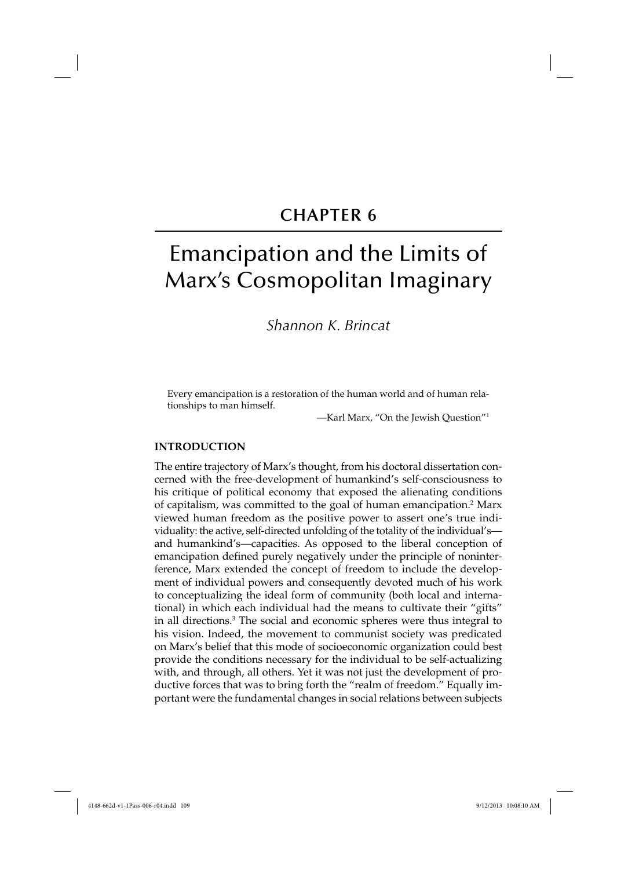# **CHAPTER 6**

# Emancipation and the Limits of Marx's Cosmopolitan Imaginary

## *Shannon K. Brincat*

 Every emancipation is a restoration of the human world and of human relationships to man himself.

-Karl Marx, "On the Jewish Question"<sup>1</sup>

### **INTRODUCTION**

 The entire trajectory of Marx's thought, from his doctoral dissertation concerned with the free-development of humankind's self-consciousness to his critique of political economy that exposed the alienating conditions of capitalism, was committed to the goal of human emancipation.<sup>2</sup> Marx viewed human freedom as the positive power to assert one's true individuality: the active, self-directed unfolding of the totality of the individual's and humankind's—capacities. As opposed to the liberal conception of emancipation defined purely negatively under the principle of noninterference, Marx extended the concept of freedom to include the development of individual powers and consequently devoted much of his work to conceptualizing the ideal form of community (both local and international) in which each individual had the means to cultivate their "gifts" in all directions.<sup>3</sup> The social and economic spheres were thus integral to his vision. Indeed, the movement to communist society was predicated on Marx's belief that this mode of socioeconomic organization could best provide the conditions necessary for the individual to be self-actualizing with, and through, all others. Yet it was not just the development of productive forces that was to bring forth the "realm of freedom." Equally important were the fundamental changes in social relations between subjects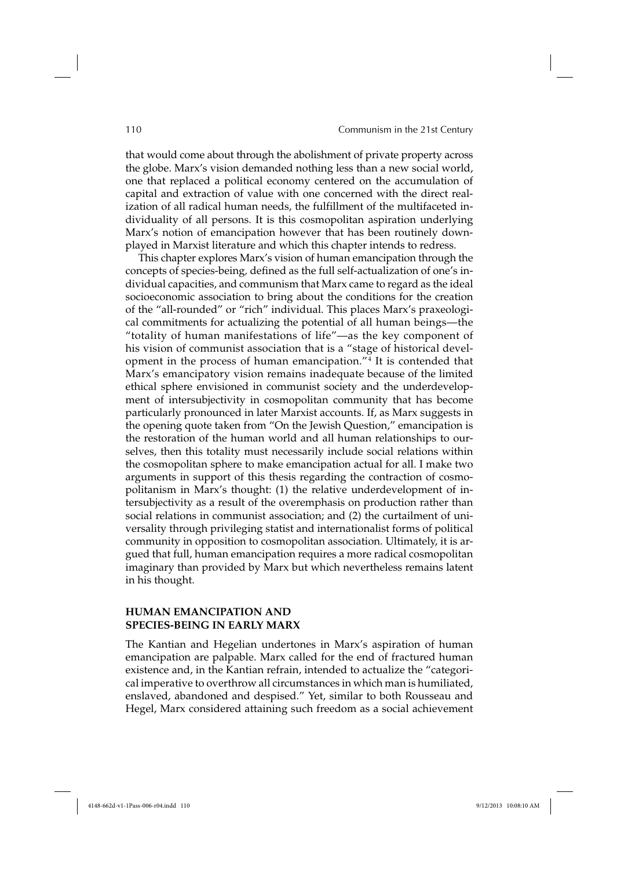that would come about through the abolishment of private property across the globe. Marx's vision demanded nothing less than a new social world, one that replaced a political economy centered on the accumulation of capital and extraction of value with one concerned with the direct realization of all radical human needs, the fulfillment of the multifaceted individuality of all persons. It is this cosmopolitan aspiration underlying Marx's notion of emancipation however that has been routinely downplayed in Marxist literature and which this chapter intends to redress.

 This chapter explores Marx's vision of human emancipation through the concepts of species-being*,* defined as the full self-actualization of one's individual capacities, and communism that Marx came to regard as the ideal socioeconomic association to bring about the conditions for the creation of the "all-rounded" or "rich" individual. This places Marx's praxeological commitments for actualizing the potential of all human beings—the "totality of human manifestations of life"—as the key component of his vision of communist association that is a "stage of historical development in the process of human emancipation."<sup>4</sup> It is contended that Marx's emancipatory vision remains inadequate because of the limited ethical sphere envisioned in communist society and the underdevelopment of intersubjectivity in cosmopolitan community that has become particularly pronounced in later Marxist accounts. If, as Marx suggests in the opening quote taken from "On the Jewish Question," emancipation is the restoration of the human world and all human relationships to ourselves, then this totality must necessarily include social relations within the cosmopolitan sphere to make emancipation actual for all. I make two arguments in support of this thesis regarding the contraction of cosmopolitanism in Marx's thought: (1) the relative underdevelopment of intersubjectivity as a result of the overemphasis on production rather than social relations in communist association; and (2) the curtailment of universality through privileging statist and internationalist forms of political community in opposition to cosmopolitan association. Ultimately, it is argued that full, human emancipation requires a more radical cosmopolitan imaginary than provided by Marx but which nevertheless remains latent in his thought.

#### **HUMAN EMANCIPATION AND SPECIES-BEING IN EARLY MARX**

 The Kantian and Hegelian undertones in Marx's aspiration of human emancipation are palpable. Marx called for the end of fractured human existence and, in the Kantian refrain, intended to actualize the "categorical imperative to overthrow all circumstances in which man is humiliated, enslaved, abandoned and despised." Yet, similar to both Rousseau and Hegel, Marx considered attaining such freedom as a social achievement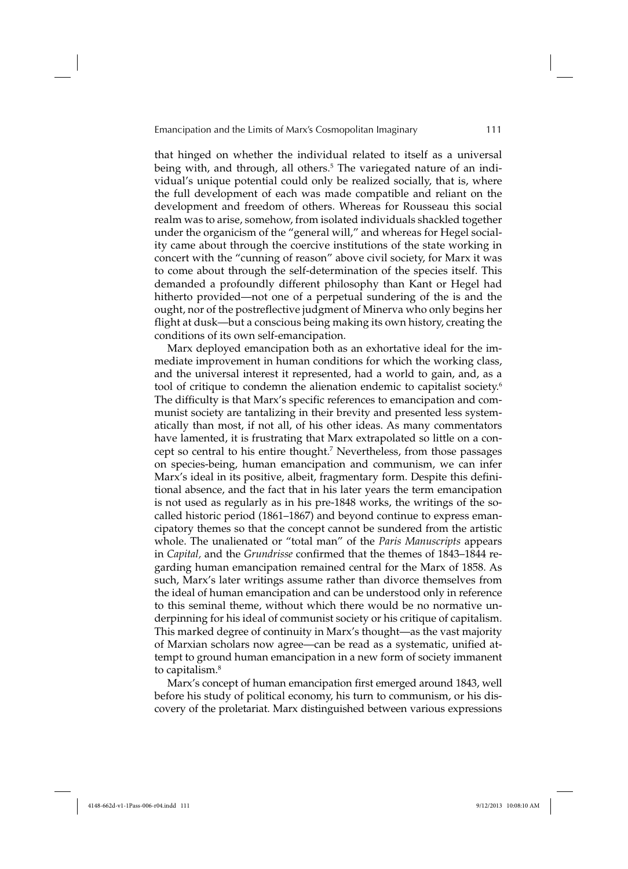that hinged on whether the individual related to itself as a universal being with, and through, all others.<sup>5</sup> The variegated nature of an individual's unique potential could only be realized socially, that is, where the full development of each was made compatible and reliant on the development and freedom of others. Whereas for Rousseau this social realm was to arise, somehow, from isolated individuals shackled together under the organicism of the "general will," and whereas for Hegel sociality came about through the coercive institutions of the state working in concert with the "cunning of reason" above civil society, for Marx it was to come about through the self-determination of the species itself. This demanded a profoundly different philosophy than Kant or Hegel had hitherto provided—not one of a perpetual sundering of the is and the ought, nor of the postreflective judgment of Minerva who only begins her flight at dusk—but a conscious being making its own history, creating the conditions of its own self-emancipation.

 Marx deployed emancipation both as an exhortative ideal for the immediate improvement in human conditions for which the working class, and the universal interest it represented, had a world to gain, and, as a tool of critique to condemn the alienation endemic to capitalist society.<sup>6</sup> The difficulty is that Marx's specific references to emancipation and communist society are tantalizing in their brevity and presented less systematically than most, if not all, of his other ideas. As many commentators have lamented, it is frustrating that Marx extrapolated so little on a concept so central to his entire thought.<sup>7</sup> Nevertheless, from those passages on species-being, human emancipation and communism, we can infer Marx's ideal in its positive, albeit, fragmentary form. Despite this definitional absence, and the fact that in his later years the term emancipation is not used as regularly as in his pre-1848 works, the writings of the socalled historic period (1861–1867) and beyond continue to express emancipatory themes so that the concept cannot be sundered from the artistic whole. The unalienated or "total man" of the *Paris Manuscripts* appears in *Capital,* and the *Grundrisse* confirmed that the themes of 1843–1844 regarding human emancipation remained central for the Marx of 1858. As such, Marx's later writings assume rather than divorce themselves from the ideal of human emancipation and can be understood only in reference to this seminal theme, without which there would be no normative underpinning for his ideal of communist society or his critique of capitalism. This marked degree of continuity in Marx's thought—as the vast majority of Marxian scholars now agree—can be read as a systematic, unified attempt to ground human emancipation in a new form of society immanent to capitalism. $8$ 

 Marx's concept of human emancipation first emerged around 1843, well before his study of political economy, his turn to communism, or his discovery of the proletariat. Marx distinguished between various expressions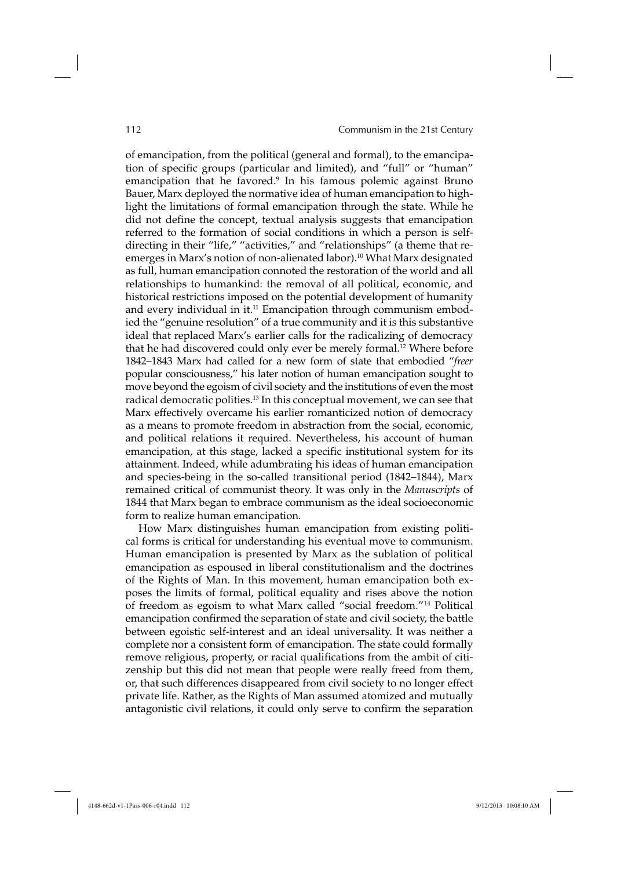of emancipation, from the political (general and formal), to the emancipation of specific groups (particular and limited), and "full" or "human" emancipation that he favored.<sup>9</sup> In his famous polemic against Bruno Bauer, Marx deployed the normative idea of human emancipation to highlight the limitations of formal emancipation through the state. While he did not define the concept, textual analysis suggests that emancipation referred to the formation of social conditions in which a person is selfdirecting in their "life," "activities," and "relationships" (a theme that reemerges in Marx's notion of non-alienated labor). 10 What Marx designated as full, human emancipation connoted the restoration of the world and all relationships to humankind: the removal of all political, economic, and historical restrictions imposed on the potential development of humanity and every individual in it. $11$  Emancipation through communism embodied the "genuine resolution" of a true community and it is this substantive ideal that replaced Marx's earlier calls for the radicalizing of democracy that he had discovered could only ever be merely formal.<sup>12</sup> Where before 1842–1843 Marx had called for a new form of state that embodied " *freer*  popular consciousness," his later notion of human emancipation sought to move beyond the egoism of civil society and the institutions of even the most radical democratic polities.<sup>13</sup> In this conceptual movement, we can see that Marx effectively overcame his earlier romanticized notion of democracy as a means to promote freedom in abstraction from the social, economic, and political relations it required. Nevertheless, his account of human emancipation, at this stage, lacked a specific institutional system for its attainment. Indeed, while adumbrating his ideas of human emancipation and species-being in the so-called transitional period (1842–1844), Marx remained critical of communist theory. It was only in the *Manuscripts* of 1844 that Marx began to embrace communism as the ideal socioeconomic form to realize human emancipation.

 How Marx distinguishes human emancipation from existing political forms is critical for understanding his eventual move to communism. Human emancipation is presented by Marx as the sublation of political emancipation as espoused in liberal constitutionalism and the doctrines of the Rights of Man. In this movement, human emancipation both exposes the limits of formal, political equality and rises above the notion of freedom as egoism to what Marx called "social freedom." 14 Political emancipation confirmed the separation of state and civil society, the battle between egoistic self-interest and an ideal universality. It was neither a complete nor a consistent form of emancipation. The state could formally remove religious, property, or racial qualifications from the ambit of citizenship but this did not mean that people were really freed from them, or, that such differences disappeared from civil society to no longer effect private life. Rather, as the Rights of Man assumed atomized and mutually antagonistic civil relations, it could only serve to confirm the separation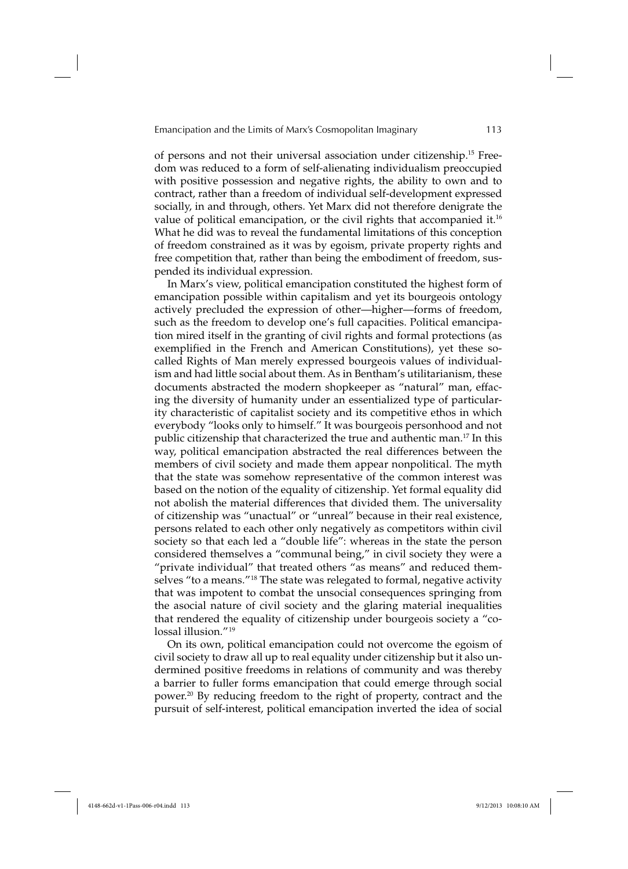of persons and not their universal association under citizenship. 15 Freedom was reduced to a form of self-alienating individualism preoccupied with positive possession and negative rights, the ability to own and to contract, rather than a freedom of individual self-development expressed socially, in and through, others. Yet Marx did not therefore denigrate the value of political emancipation, or the civil rights that accompanied it. 16 What he did was to reveal the fundamental limitations of this conception of freedom constrained as it was by egoism, private property rights and free competition that, rather than being the embodiment of freedom, suspended its individual expression.

 In Marx's view, political emancipation constituted the highest form of emancipation possible within capitalism and yet its bourgeois ontology actively precluded the expression of other—higher—forms of freedom, such as the freedom to develop one's full capacities. Political emancipation mired itself in the granting of civil rights and formal protections (as exemplified in the French and American Constitutions), yet these socalled Rights of Man merely expressed bourgeois values of individualism and had little social about them. As in Bentham's utilitarianism, these documents abstracted the modern shopkeeper as "natural" man, effacing the diversity of humanity under an essentialized type of particularity characteristic of capitalist society and its competitive ethos in which everybody "looks only to himself." It was bourgeois personhood and not public citizenship that characterized the true and authentic man. 17 In this way, political emancipation abstracted the real differences between the members of civil society and made them appear nonpolitical. The myth that the state was somehow representative of the common interest was based on the notion of the equality of citizenship. Yet formal equality did not abolish the material differences that divided them. The universality of citizenship was "unactual" or "unreal" because in their real existence, persons related to each other only negatively as competitors within civil society so that each led a "double life": whereas in the state the person considered themselves a "communal being," in civil society they were a "private individual" that treated others "as means" and reduced themselves "to a means."<sup>18</sup> The state was relegated to formal, negative activity that was impotent to combat the unsocial consequences springing from the asocial nature of civil society and the glaring material inequalities that rendered the equality of citizenship under bourgeois society a "colossal illusion."<sup>19</sup>

 On its own, political emancipation could not overcome the egoism of civil society to draw all up to real equality under citizenship but it also undermined positive freedoms in relations of community and was thereby a barrier to fuller forms emancipation that could emerge through social power.<sup>20</sup> By reducing freedom to the right of property, contract and the pursuit of self-interest, political emancipation inverted the idea of social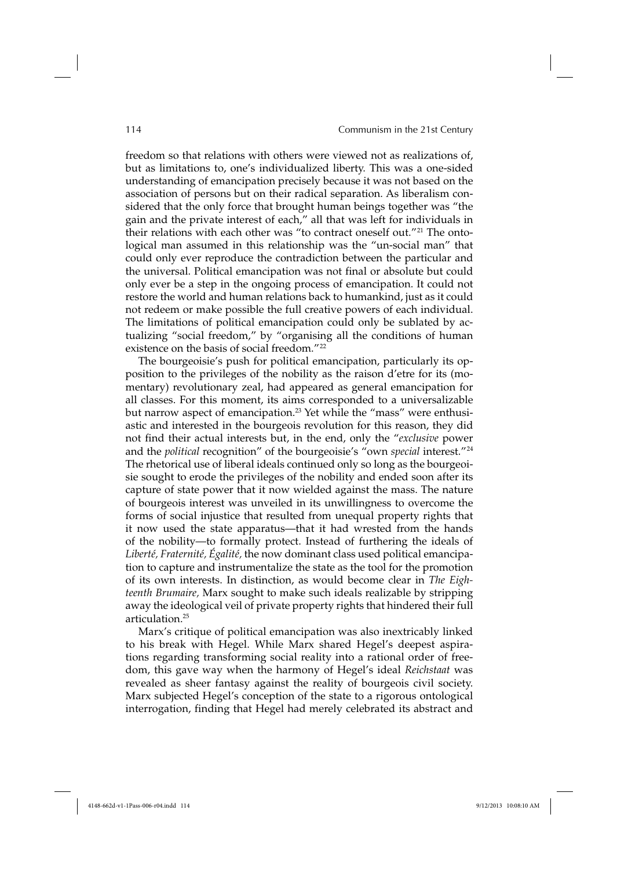freedom so that relations with others were viewed not as realizations of, but as limitations to, one's individualized liberty. This was a one-sided understanding of emancipation precisely because it was not based on the association of persons but on their radical separation. As liberalism considered that the only force that brought human beings together was "the gain and the private interest of each," all that was left for individuals in their relations with each other was "to contract oneself out."<sup>21</sup> The ontological man assumed in this relationship was the "un-social man" that could only ever reproduce the contradiction between the particular and the universal. Political emancipation was not final or absolute but could only ever be a step in the ongoing process of emancipation. It could not restore the world and human relations back to humankind, just as it could not redeem or make possible the full creative powers of each individual. The limitations of political emancipation could only be sublated by actualizing "social freedom," by "organising all the conditions of human existence on the basis of social freedom."<sup>22</sup>

 The bourgeoisie's push for political emancipation, particularly its opposition to the privileges of the nobility as the raison d'etre for its (momentary) revolutionary zeal, had appeared as general emancipation for all classes. For this moment, its aims corresponded to a universalizable but narrow aspect of emancipation.<sup>23</sup> Yet while the "mass" were enthusiastic and interested in the bourgeois revolution for this reason, they did not find their actual interests but, in the end, only the " *exclusive* power and the *political* recognition" of the bourgeoisie's "own *special* interest." 24 The rhetorical use of liberal ideals continued only so long as the bourgeoisie sought to erode the privileges of the nobility and ended soon after its capture of state power that it now wielded against the mass. The nature of bourgeois interest was unveiled in its unwillingness to overcome the forms of social injustice that resulted from unequal property rights that it now used the state apparatus—that it had wrested from the hands of the nobility—to formally protect. Instead of furthering the ideals of *Liberté, Fraternité, Égalité,* the now dominant class used political emancipation to capture and instrumentalize the state as the tool for the promotion of its own interests. In distinction, as would become clear in *The Eighteenth Brumaire,* Marx sought to make such ideals realizable by stripping away the ideological veil of private property rights that hindered their full articulation.<sup>25</sup>

 Marx's critique of political emancipation was also inextricably linked to his break with Hegel. While Marx shared Hegel's deepest aspirations regarding transforming social reality into a rational order of freedom, this gave way when the harmony of Hegel's ideal *Reichstaat* was revealed as sheer fantasy against the reality of bourgeois civil society. Marx subjected Hegel's conception of the state to a rigorous ontological interrogation, finding that Hegel had merely celebrated its abstract and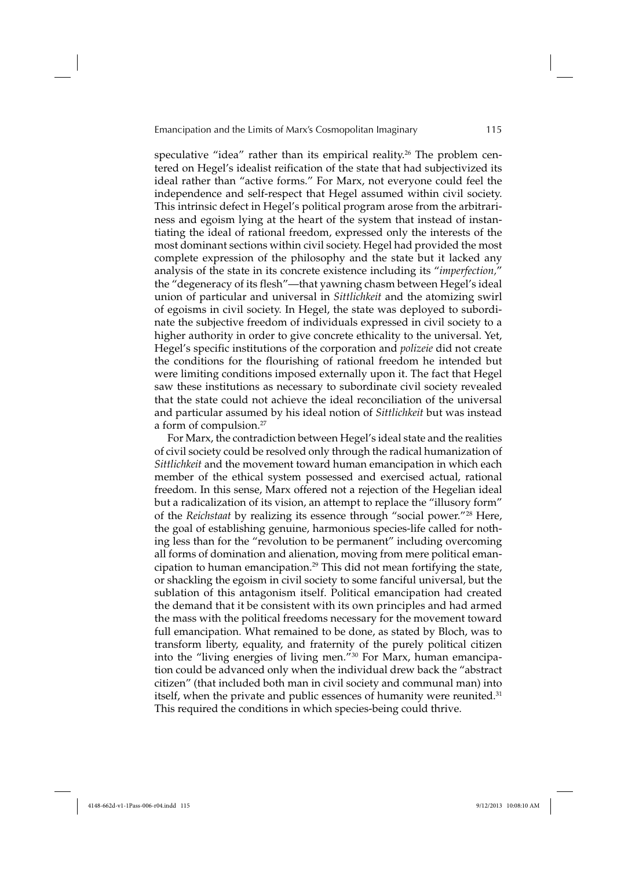speculative "idea" rather than its empirical reality.<sup>26</sup> The problem centered on Hegel's idealist reification of the state that had subjectivized its ideal rather than "active forms." For Marx, not everyone could feel the independence and self-respect that Hegel assumed within civil society. This intrinsic defect in Hegel's political program arose from the arbitrariness and egoism lying at the heart of the system that instead of instantiating the ideal of rational freedom, expressed only the interests of the most dominant sections within civil society. Hegel had provided the most complete expression of the philosophy and the state but it lacked any analysis of the state in its concrete existence including its " *imperfection,* " the "degeneracy of its flesh"—that yawning chasm between Hegel's ideal union of particular and universal in *Sittlichkeit* and the atomizing swirl of egoisms in civil society. In Hegel, the state was deployed to subordinate the subjective freedom of individuals expressed in civil society to a higher authority in order to give concrete ethicality to the universal. Yet, Hegel's specific institutions of the corporation and *polizeie* did not create the conditions for the flourishing of rational freedom he intended but were limiting conditions imposed externally upon it. The fact that Hegel saw these institutions as necessary to subordinate civil society revealed that the state could not achieve the ideal reconciliation of the universal and particular assumed by his ideal notion of *Sittlichkeit* but was instead a form of compulsion.<sup>27</sup>

 For Marx, the contradiction between Hegel's ideal state and the realities of civil society could be resolved only through the radical humanization of *Sittlichkeit* and the movement toward human emancipation in which each member of the ethical system possessed and exercised actual, rational freedom. In this sense, Marx offered not a rejection of the Hegelian ideal but a radicalization of its vision, an attempt to replace the "illusory form" of the *Reichstaat* by realizing its essence through "social power."<sup>28</sup> Here, the goal of establishing genuine, harmonious species-life called for nothing less than for the "revolution to be permanent" including overcoming all forms of domination and alienation, moving from mere political emancipation to human emancipation.<sup>29</sup> This did not mean fortifying the state, or shackling the egoism in civil society to some fanciful universal, but the sublation of this antagonism itself. Political emancipation had created the demand that it be consistent with its own principles and had armed the mass with the political freedoms necessary for the movement toward full emancipation. What remained to be done, as stated by Bloch, was to transform liberty, equality, and fraternity of the purely political citizen into the "living energies of living men." 30 For Marx, human emancipation could be advanced only when the individual drew back the "abstract citizen" (that included both man in civil society and communal man) into itself, when the private and public essences of humanity were reunited.<sup>31</sup> This required the conditions in which species-being could thrive.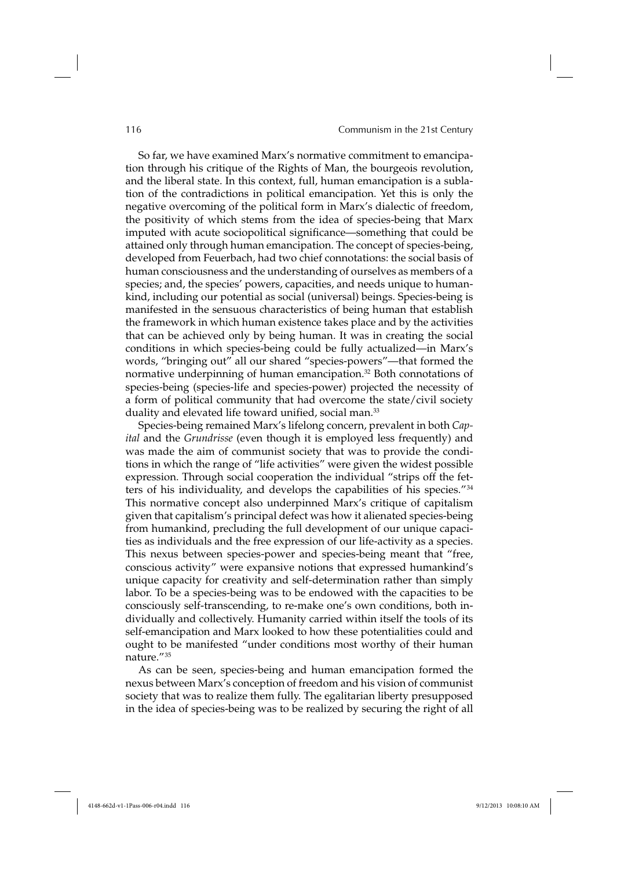So far, we have examined Marx's normative commitment to emancipation through his critique of the Rights of Man, the bourgeois revolution, and the liberal state. In this context, full, human emancipation is a sublation of the contradictions in political emancipation. Yet this is only the negative overcoming of the political form in Marx's dialectic of freedom, the positivity of which stems from the idea of species-being that Marx imputed with acute sociopolitical significance—something that could be attained only through human emancipation. The concept of species-being, developed from Feuerbach, had two chief connotations: the social basis of human consciousness and the understanding of ourselves as members of a species; and, the species' powers, capacities, and needs unique to humankind, including our potential as social (universal) beings. Species-being is manifested in the sensuous characteristics of being human that establish the framework in which human existence takes place and by the activities that can be achieved only by being human. It was in creating the social conditions in which species-being could be fully actualized—in Marx's words, "bringing out" all our shared "species-powers"—that formed the normative underpinning of human emancipation.<sup>32</sup> Both connotations of species-being (species-life and species-power) projected the necessity of a form of political community that had overcome the state/civil society duality and elevated life toward unified, social man.<sup>33</sup>

 Species-being remained Marx's lifelong concern, prevalent in both *Capital* and the *Grundrisse* (even though it is employed less frequently) and was made the aim of communist society that was to provide the conditions in which the range of "life activities" were given the widest possible expression. Through social cooperation the individual "strips off the fetters of his individuality, and develops the capabilities of his species."<sup>34</sup> This normative concept also underpinned Marx's critique of capitalism given that capitalism's principal defect was how it alienated species-being from humankind, precluding the full development of our unique capacities as individuals and the free expression of our life-activity as a species. This nexus between species-power and species-being meant that "free, conscious activity" were expansive notions that expressed humankind's unique capacity for creativity and self-determination rather than simply labor. To be a species-being was to be endowed with the capacities to be consciously self-transcending, to re-make one's own conditions, both individually and collectively. Humanity carried within itself the tools of its self-emancipation and Marx looked to how these potentialities could and ought to be manifested "under conditions most worthy of their human nature." 35

 As can be seen, species-being and human emancipation formed the nexus between Marx's conception of freedom and his vision of communist society that was to realize them fully. The egalitarian liberty presupposed in the idea of species-being was to be realized by securing the right of all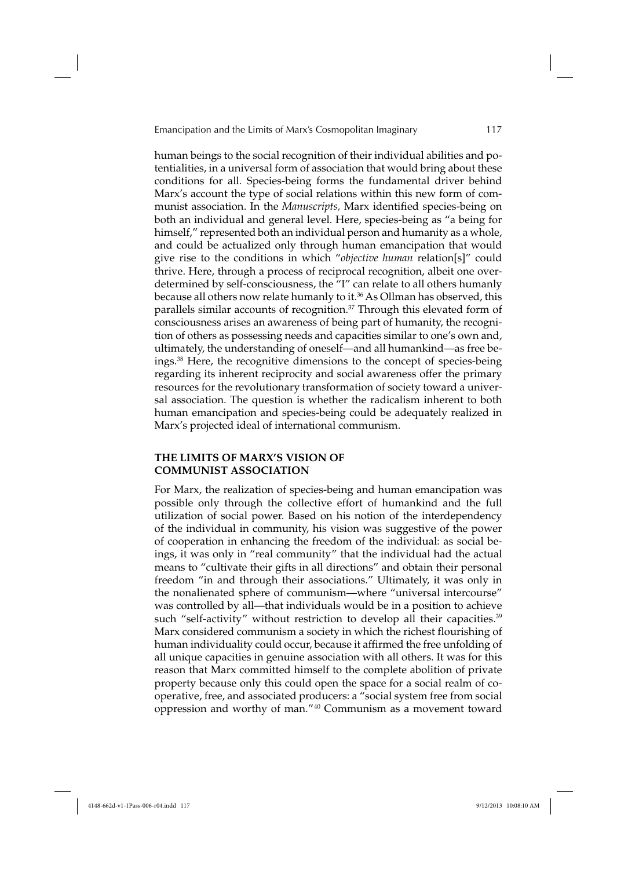human beings to the social recognition of their individual abilities and potentialities, in a universal form of association that would bring about these conditions for all *.* Species-being forms the fundamental driver behind Marx's account the type of social relations within this new form of communist association. In the *Manuscripts,* Marx identified species-being on both an individual and general level. Here, species-being as "a being for himself," represented both an individual person and humanity as a whole, and could be actualized only through human emancipation that would give rise to the conditions in which " *objective human* relation[s]" could thrive. Here, through a process of reciprocal recognition, albeit one overdetermined by self-consciousness, the "I" can relate to all others humanly because all others now relate humanly to it.<sup>36</sup> As Ollman has observed, this parallels similar accounts of recognition. $37$  Through this elevated form of consciousness arises an awareness of being part of humanity, the recognition of others as possessing needs and capacities similar to one's own and, ultimately, the understanding of oneself—and all humankind—as free beings. 38 Here, the recognitive dimensions to the concept of species-being regarding its inherent reciprocity and social awareness offer the primary resources for the revolutionary transformation of society toward a universal association. The question is whether the radicalism inherent to both human emancipation and species-being could be adequately realized in Marx's projected ideal of international communism.

#### **THE LIMITS OF MARX'S VISION OF COMMUNIST ASSOCIATION**

 For Marx, the realization of species-being and human emancipation was possible only through the collective effort of humankind and the full utilization of social power. Based on his notion of the interdependency of the individual in community, his vision was suggestive of the power of cooperation in enhancing the freedom of the individual: as social beings, it was only in "real community" that the individual had the actual means to "cultivate their gifts in all directions" and obtain their personal freedom "in and through their associations." Ultimately, it was only in the nonalienated sphere of communism—where "universal intercourse" was controlled by all—that individuals would be in a position to achieve such "self-activity" without restriction to develop all their capacities.<sup>39</sup> Marx considered communism a society in which the richest flourishing of human individuality could occur, because it affirmed the free unfolding of all unique capacities in genuine association with all others. It was for this reason that Marx committed himself to the complete abolition of private property because only this could open the space for a social realm of cooperative, free, and associated producers: a "social system free from social oppression and worthy of man." 40 Communism as a movement toward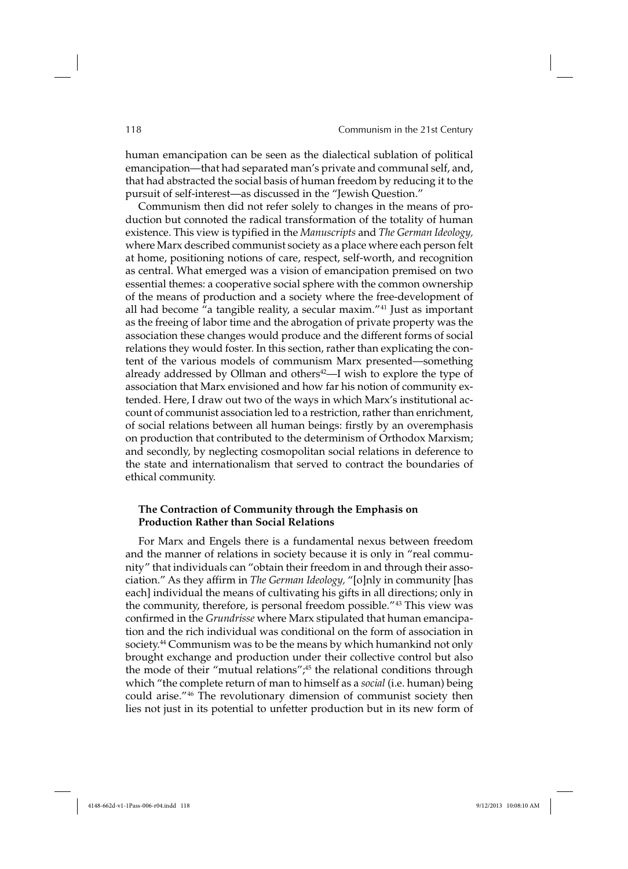human emancipation can be seen as the dialectical sublation of political emancipation—that had separated man's private and communal self, and, that had abstracted the social basis of human freedom by reducing it to the pursuit of self-interest—as discussed in the " Jewish Question. "

 Communism then did not refer solely to changes in the means of production but connoted the radical transformation of the totality of human existence. This view is typified in the *Manuscripts* and *The German Ideology,* where Marx described communist society as a place where each person felt at home, positioning notions of care, respect, self-worth, and recognition as central. What emerged was a vision of emancipation premised on two essential themes: a cooperative social sphere with the common ownership of the means of production and a society where the free-development of all had become "a tangible reality, a secular maxim." 41 Just as important as the freeing of labor time and the abrogation of private property was the association these changes would produce and the different forms of social relations they would foster. In this section, rather than explicating the content of the various models of communism Marx presented—something already addressed by Ollman and others<sup>42</sup>—I wish to explore the type of association that Marx envisioned and how far his notion of community extended. Here, I draw out two of the ways in which Marx's institutional account of communist association led to a restriction, rather than enrichment, of social relations between all human beings: firstly by an overemphasis on production that contributed to the determinism of Orthodox Marxism; and secondly, by neglecting cosmopolitan social relations in deference to the state and internationalism that served to contract the boundaries of ethical community.

#### **The Contraction of Community through the Emphasis on Production Rather than Social Relations**

 For Marx and Engels there is a fundamental nexus between freedom and the manner of relations in society because it is only in "real community" that individuals can "obtain their freedom in and through their association." As they affirm in *The German Ideology,* "[o]nly in community [has each] individual the means of cultivating his gifts in all directions; only in the community, therefore, is personal freedom possible."<sup>43</sup> This view was confirmed in the *Grundrisse* where Marx stipulated that human emancipation and the rich individual was conditional on the form of association in society.<sup>44</sup> Communism was to be the means by which humankind not only brought exchange and production under their collective control but also the mode of their "mutual relations";<sup>45</sup> the relational conditions through which "the complete return of man to himself as a *social* (i.e. human) being could arise."<sup>46</sup> The revolutionary dimension of communist society then lies not just in its potential to unfetter production but in its new form of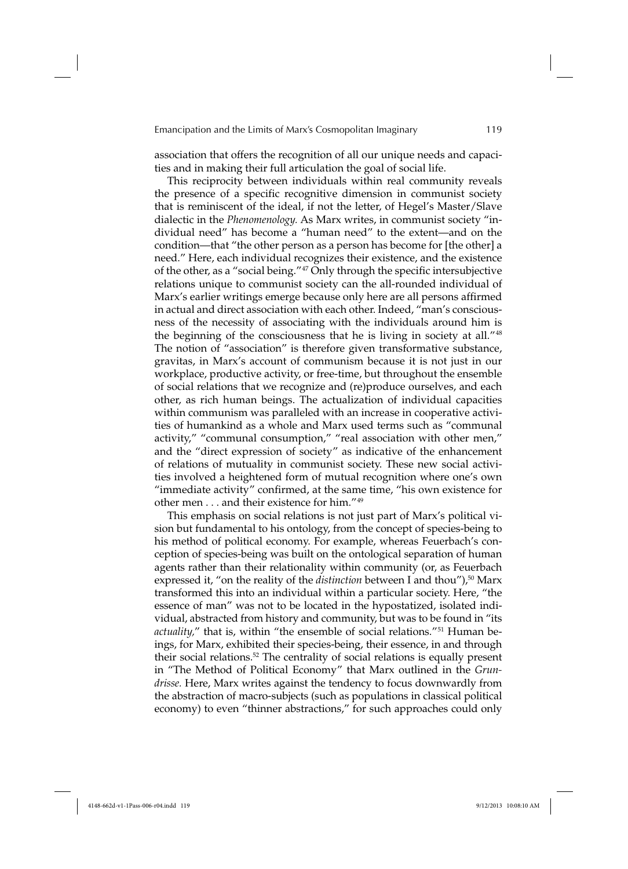association that offers the recognition of all our unique needs and capacities and in making their full articulation the goal of social life.

 This reciprocity between individuals within real community reveals the presence of a specific recognitive dimension in communist society that is reminiscent of the ideal, if not the letter, of Hegel's Master/Slave dialectic in the *Phenomenology.* As Marx writes, in communist society "individual need" has become a "human need" to the extent—and on the condition—that "the other person as a person has become for [the other] a need." Here, each individual recognizes their existence, and the existence of the other, as a "social being."<sup>47</sup> Only through the specific intersubjective relations unique to communist society can the all-rounded individual of Marx's earlier writings emerge because only here are all persons affirmed in actual and direct association with each other. Indeed, "man's consciousness of the necessity of associating with the individuals around him is the beginning of the consciousness that he is living in society at all.<sup>"48</sup> The notion of "association" is therefore given transformative substance, gravitas, in Marx's account of communism because it is not just in our workplace, productive activity, or free-time, but throughout the ensemble of social relations that we recognize and (re)produce ourselves, and each other, as rich human beings. The actualization of individual capacities within communism was paralleled with an increase in cooperative activities of humankind as a whole and Marx used terms such as "communal activity," "communal consumption," "real association with other men," and the "direct expression of society" as indicative of the enhancement of relations of mutuality in communist society. These new social activities involved a heightened form of mutual recognition where one's own "immediate activity" confirmed, at the same time, "his own existence for other men . . . and their existence for him." 49

 This emphasis on social relations is not just part of Marx's political vision but fundamental to his ontology, from the concept of species-being to his method of political economy. For example, whereas Feuerbach's conception of species-being was built on the ontological separation of human agents rather than their relationality within community (or, as Feuerbach expressed it, "on the reality of the *distinction* between I and thou"),<sup>50</sup> Marx transformed this into an individual within a particular society. Here, "the essence of man" was not to be located in the hypostatized, isolated individual, abstracted from history and community, but was to be found in "its *actuality,"* that is, within "the ensemble of social relations."<sup>51</sup> Human beings, for Marx, exhibited their species-being, their essence, in and through their social relations. $52$  The centrality of social relations is equally present in "The Method of Political Economy" that Marx outlined in the *Grundrisse.* Here, Marx writes against the tendency to focus downwardly from the abstraction of macro-subjects (such as populations in classical political economy) to even "thinner abstractions," for such approaches could only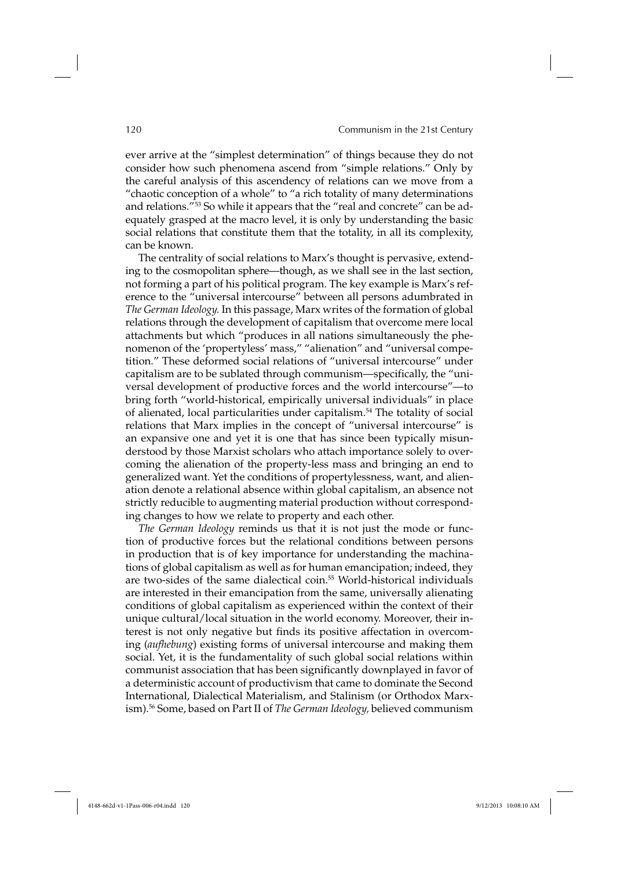ever arrive at the "simplest determination" of things because they do not consider how such phenomena ascend from "simple relations." Only by the careful analysis of this ascendency of relations can we move from a "chaotic conception of a whole" to "a rich totality of many determinations and relations." 53 So while it appears that the "real and concrete" can be adequately grasped at the macro level, it is only by understanding the basic social relations that constitute them that the totality, in all its complexity, can be known.

 The centrality of social relations to Marx's thought is pervasive, extending to the cosmopolitan sphere—though, as we shall see in the last section, not forming a part of his political program. The key example is Marx's reference to the "universal intercourse" between all persons adumbrated in *The German Ideology.* In this passage, Marx writes of the formation of global relations through the development of capitalism that overcome mere local attachments but which "produces in all nations simultaneously the phenomenon of the 'propertyless' mass," "alienation" and "universal competition." These deformed social relations of "universal intercourse" under capitalism are to be sublated through communism—specifically, the "universal development of productive forces and the world intercourse"—to bring forth "world-historical, empirically universal individuals" in place of alienated, local particularities under capitalism.<sup>54</sup> The totality of social relations that Marx implies in the concept of "universal intercourse" is an expansive one and yet it is one that has since been typically misunderstood by those Marxist scholars who attach importance solely to overcoming the alienation of the property-less mass and bringing an end to generalized want. Yet the conditions of propertylessness, want, and alienation denote a relational absence within global capitalism, an absence not strictly reducible to augmenting material production without corresponding changes to how we relate to property and each other.

*The German Ideology* reminds us that it is not just the mode or function of productive forces but the relational conditions between persons in production that is of key importance for understanding the machinations of global capitalism as well as for human emancipation; indeed, they are two-sides of the same dialectical coin.<sup>55</sup> World-historical individuals are interested in their emancipation from the same, universally alienating conditions of global capitalism as experienced within the context of their unique cultural/local situation in the world economy. Moreover, their interest is not only negative but finds its positive affectation in overcoming (*aufhebung*) existing forms of universal intercourse and making them social. Yet, it is the fundamentality of such global social relations within communist association that has been significantly downplayed in favor of a deterministic account of productivism that came to dominate the Second International, Dialectical Materialism, and Stalinism (or Orthodox Marxism). 56 Some, based on Part II of *The German Ideology,* believed communism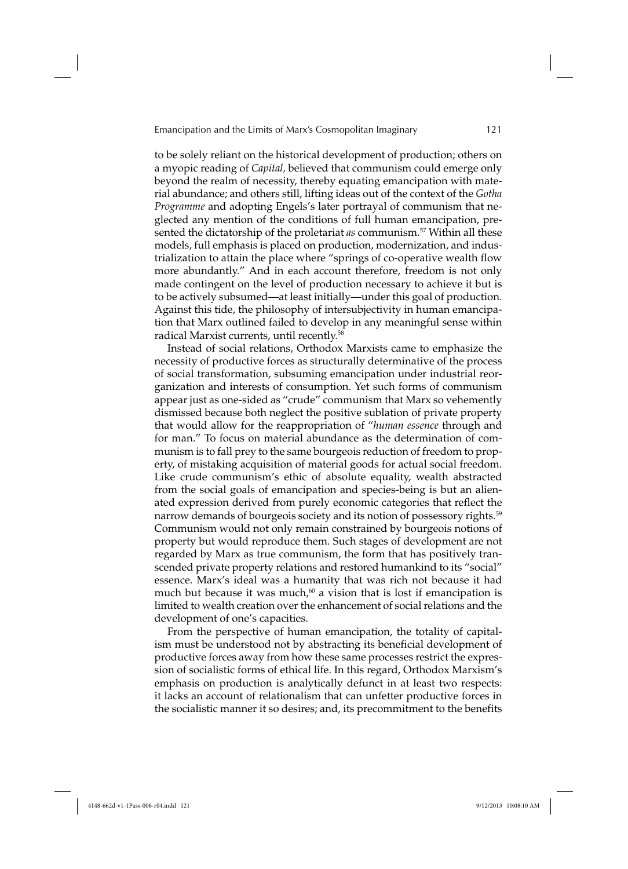to be solely reliant on the historical development of production; others on a myopic reading of *Capital,* believed that communism could emerge only beyond the realm of necessity, thereby equating emancipation with material abundance; and others still, lifting ideas out of the context of the *Gotha Programme* and adopting Engels's later portrayal of communism that neglected any mention of the conditions of full human emancipation, presented the dictatorship of the proletariat *as* communism.<sup>57</sup> Within all these models, full emphasis is placed on production, modernization, and industrialization to attain the place where "springs of co-operative wealth flow more abundantly." And in each account therefore, freedom is not only made contingent on the level of production necessary to achieve it but is to be actively subsumed—at least initially—under this goal of production. Against this tide, the philosophy of intersubjectivity in human emancipation that Marx outlined failed to develop in any meaningful sense within radical Marxist currents, until recently. 58

 Instead of social relations, Orthodox Marxists came to emphasize the necessity of productive forces as structurally determinative of the process of social transformation, subsuming emancipation under industrial reorganization and interests of consumption. Yet such forms of communism appear just as one-sided as "crude" communism that Marx so vehemently dismissed because both neglect the positive sublation of private property that would allow for the reappropriation of " *human essence* through and for man." To focus on material abundance as the determination of communism is to fall prey to the same bourgeois reduction of freedom to property, of mistaking acquisition of material goods for actual social freedom. Like crude communism's ethic of absolute equality, wealth abstracted from the social goals of emancipation and species-being is but an alienated expression derived from purely economic categories that reflect the narrow demands of bourgeois society and its notion of possessory rights.<sup>59</sup> Communism would not only remain constrained by bourgeois notions of property but would reproduce them. Such stages of development are not regarded by Marx as true communism, the form that has positively transcended private property relations and restored humankind to its "social" essence. Marx's ideal was a humanity that was rich not because it had much but because it was much, $60$  a vision that is lost if emancipation is limited to wealth creation over the enhancement of social relations and the development of one's capacities.

 From the perspective of human emancipation, the totality of capitalism must be understood not by abstracting its beneficial development of productive forces away from how these same processes restrict the expression of socialistic forms of ethical life. In this regard, Orthodox Marxism's emphasis on production is analytically defunct in at least two respects: it lacks an account of relationalism that can unfetter productive forces in the socialistic manner it so desires; and, its precommitment to the benefits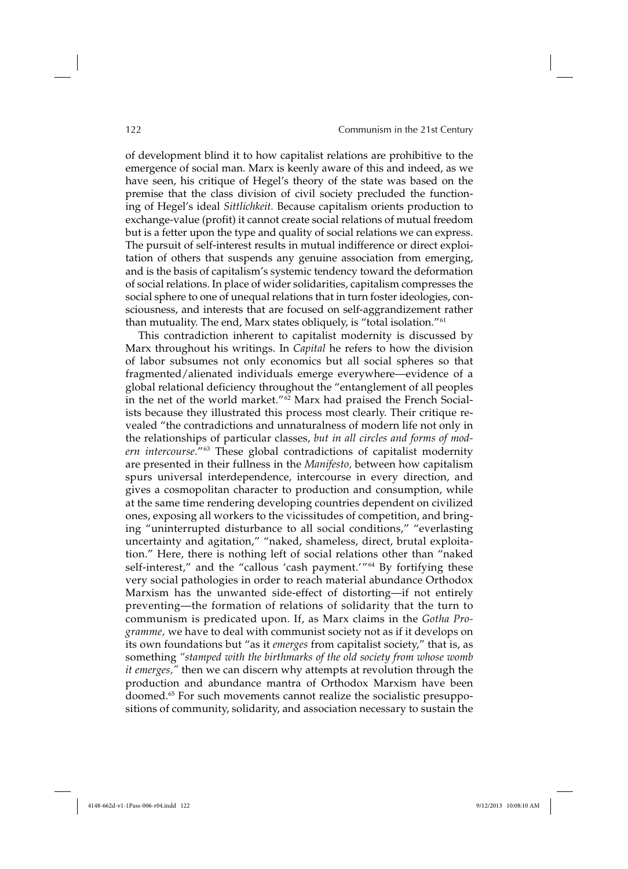of development blind it to how capitalist relations are prohibitive to the emergence of social man. Marx is keenly aware of this and indeed, as we have seen, his critique of Hegel's theory of the state was based on the premise that the class division of civil society precluded the functioning of Hegel's ideal *Sittlichkeit.* Because capitalism orients production to exchange-value (profit) it cannot create social relations of mutual freedom but is a fetter upon the type and quality of social relations we can express. The pursuit of self-interest results in mutual indifference or direct exploitation of others that suspends any genuine association from emerging, and is the basis of capitalism's systemic tendency toward the deformation of social relations. In place of wider solidarities, capitalism compresses the social sphere to one of unequal relations that in turn foster ideologies, consciousness, and interests that are focused on self-aggrandizement rather than mutuality. The end, Marx states obliquely, is "total isolation." 61

 This contradiction inherent to capitalist modernity is discussed by Marx throughout his writings. In *Capital* he refers to how the division of labor subsumes not only economics but all social spheres so that fragmented/alienated individuals emerge everywhere—evidence of a global relational deficiency throughout the "entanglement of all peoples in the net of the world market."<sup>62</sup> Marx had praised the French Socialists because they illustrated this process most clearly. Their critique revealed "the contradictions and unnaturalness of modern life not only in the relationships of particular classes, *but in all circles and forms of mod*ern intercourse."<sup>63</sup> These global contradictions of capitalist modernity are presented in their fullness in the *Manifesto,* between how capitalism spurs universal interdependence, intercourse in every direction, and gives a cosmopolitan character to production and consumption, while at the same time rendering developing countries dependent on civilized ones, exposing all workers to the vicissitudes of competition, and bringing "uninterrupted disturbance to all social conditions," "everlasting uncertainty and agitation," "naked, shameless, direct, brutal exploitation." Here, there is nothing left of social relations other than "naked self-interest," and the "callous 'cash payment.'"<sup>64</sup> By fortifying these very social pathologies in order to reach material abundance Orthodox Marxism has the unwanted side-effect of distorting—if not entirely preventing—the formation of relations of solidarity that the turn to communism is predicated upon. If, as Marx claims in the *Gotha Programme,* we have to deal with communist society not as if it develops on its own foundations but "as it *emerges* from capitalist society," that is, as something *"stamped with the birthmarks of the old society from whose womb it emerges,"* then we can discern why attempts at revolution through the production and abundance mantra of Orthodox Marxism have been doomed.<sup>65</sup> For such movements cannot realize the socialistic presuppositions of community, solidarity, and association necessary to sustain the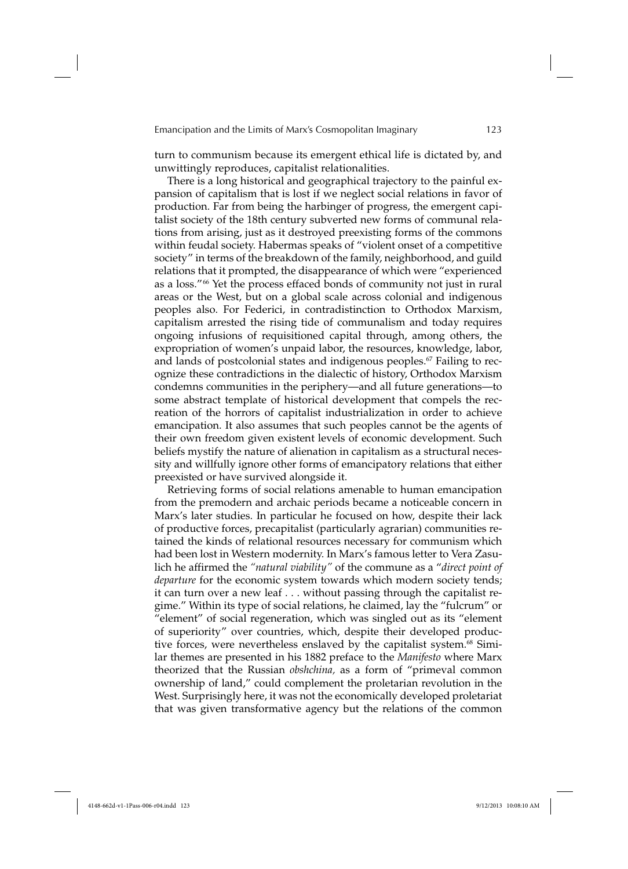turn to communism because its emergent ethical life is dictated by, and unwittingly reproduces, capitalist relationalities.

 There is a long historical and geographical trajectory to the painful expansion of capitalism that is lost if we neglect social relations in favor of production. Far from being the harbinger of progress, the emergent capitalist society of the 18th century subverted new forms of communal relations from arising, just as it destroyed preexisting forms of the commons within feudal society. Habermas speaks of "violent onset of a competitive society" in terms of the breakdown of the family, neighborhood, and guild relations that it prompted, the disappearance of which were "experienced as a loss."<sup>66</sup> Yet the process effaced bonds of community not just in rural areas or the West, but on a global scale across colonial and indigenous peoples also. For Federici, in contradistinction to Orthodox Marxism, capitalism arrested the rising tide of communalism and today requires ongoing infusions of requisitioned capital through, among others, the expropriation of women's unpaid labor, the resources, knowledge, labor, and lands of postcolonial states and indigenous peoples.<sup>67</sup> Failing to recognize these contradictions in the dialectic of history, Orthodox Marxism condemns communities in the periphery—and all future generations—to some abstract template of historical development that compels the recreation of the horrors of capitalist industrialization in order to achieve emancipation. It also assumes that such peoples cannot be the agents of their own freedom given existent levels of economic development. Such beliefs mystify the nature of alienation in capitalism as a structural necessity and willfully ignore other forms of emancipatory relations that either preexisted or have survived alongside it.

 Retrieving forms of social relations amenable to human emancipation from the premodern and archaic periods became a noticeable concern in Marx's later studies. In particular he focused on how, despite their lack of productive forces, precapitalist (particularly agrarian) communities retained the kinds of relational resources necessary for communism which had been lost in Western modernity. In Marx's famous letter to Vera Zasulich he affirmed the *"natural viability "* of the commune as a " *direct point of departure* for the economic system towards which modern society tends; it can turn over a new leaf . . . without passing through the capitalist regime." Within its type of social relations, he claimed, lay the "fulcrum" or "element" of social regeneration, which was singled out as its "element of superiority" over countries, which, despite their developed productive forces, were nevertheless enslaved by the capitalist system.<sup>68</sup> Similar themes are presented in his 1882 preface to the *Manifesto* where Marx theorized that the Russian *obshchina,* as a form of "primeval common ownership of land," could complement the proletarian revolution in the West. Surprisingly here, it was not the economically developed proletariat that was given transformative agency but the relations of the common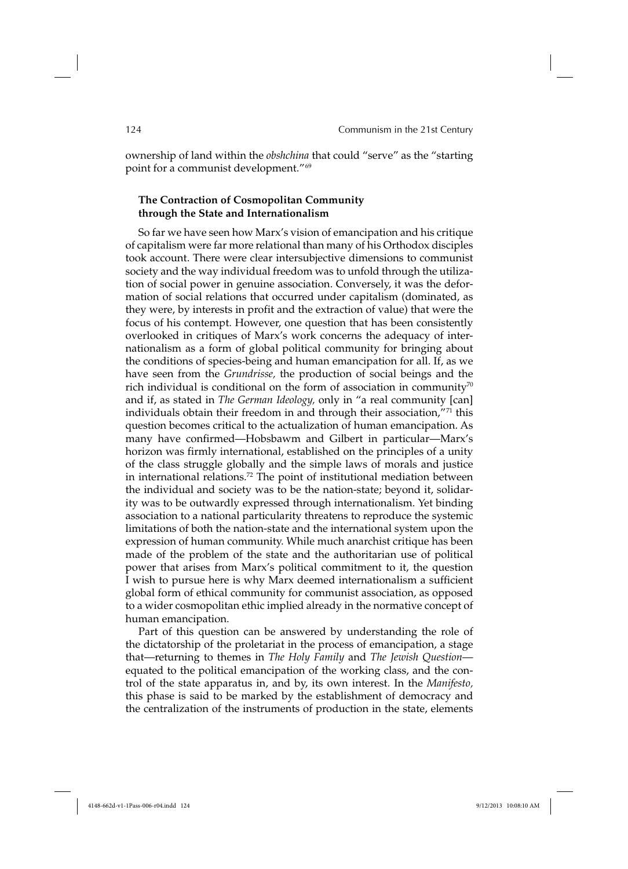ownership of land within the *obshchina* that could "serve" as the "starting point for a communist development."<sup>69</sup>

#### **The Contraction of Cosmopolitan Community through the State and Internationalism**

 So far we have seen how Marx's vision of emancipation and his critique of capitalism were far more relational than many of his Orthodox disciples took account. There were clear intersubjective dimensions to communist society and the way individual freedom was to unfold through the utilization of social power in genuine association. Conversely, it was the deformation of social relations that occurred under capitalism (dominated, as they were, by interests in profit and the extraction of value) that were the focus of his contempt. However, one question that has been consistently overlooked in critiques of Marx's work concerns the adequacy of internationalism as a form of global political community for bringing about the conditions of species-being and human emancipation for all. If, as we have seen from the *Grundrisse,* the production of social beings and the rich individual is conditional on the form of association in community<sup>70</sup> and if, as stated in *The German Ideology,* only in "a real community [can] individuals obtain their freedom in and through their association, $T<sup>71</sup>$  this question becomes critical to the actualization of human emancipation. As many have confirmed—Hobsbawm and Gilbert in particular—Marx's horizon was firmly international, established on the principles of a unity of the class struggle globally and the simple laws of morals and justice in international relations.<sup>72</sup> The point of institutional mediation between the individual and society was to be the nation-state; beyond it, solidarity was to be outwardly expressed through internationalism. Yet binding association to a national particularity threatens to reproduce the systemic limitations of both the nation-state and the international system upon the expression of human community. While much anarchist critique has been made of the problem of the state and the authoritarian use of political power that arises from Marx's political commitment to it, the question I wish to pursue here is why Marx deemed internationalism a sufficient global form of ethical community for communist association, as opposed to a wider cosmopolitan ethic implied already in the normative concept of human emancipation.

 Part of this question can be answered by understanding the role of the dictatorship of the proletariat in the process of emancipation, a stage that—returning to themes in *The Holy Family* and *The Jewish Question* equated to the political emancipation of the working class, and the control of the state apparatus in, and by, its own interest. In the *Manifesto,* this phase is said to be marked by the establishment of democracy and the centralization of the instruments of production in the state, elements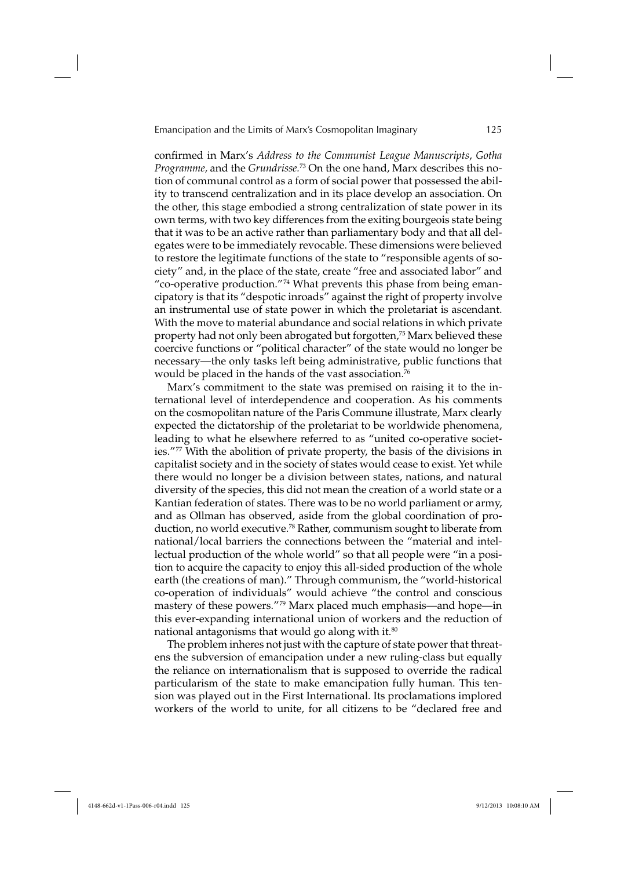confirmed in Marx's *Address to the Communist League Manuscripts* , *Gotha Programme,* and the *Grundrisse.*73 On the one hand, Marx describes this notion of communal control as a form of social power that possessed the ability to transcend centralization and in its place develop an association. On the other, this stage embodied a strong centralization of state power in its own terms, with two key differences from the exiting bourgeois state being that it was to be an active rather than parliamentary body and that all delegates were to be immediately revocable. These dimensions were believed to restore the legitimate functions of the state to "responsible agents of society " and, in the place of the state, create "free and associated labor" and "co-operative production."<sup>74</sup> What prevents this phase from being emancipatory is that its "despotic inroads" against the right of property involve an instrumental use of state power in which the proletariat is ascendant. With the move to material abundance and social relations in which private property had not only been abrogated but forgotten,<sup>75</sup> Marx believed these coercive functions or "political character" of the state would no longer be necessary—the only tasks left being administrative, public functions that would be placed in the hands of the vast association.<sup>76</sup>

 Marx's commitment to the state was premised on raising it to the international level of interdependence and cooperation. As his comments on the cosmopolitan nature of the Paris Commune illustrate, Marx clearly expected the dictatorship of the proletariat to be worldwide phenomena, leading to what he elsewhere referred to as "united co-operative societies." 77 With the abolition of private property, the basis of the divisions in capitalist society and in the society of states would cease to exist. Yet while there would no longer be a division between states, nations, and natural diversity of the species, this did not mean the creation of a world state or a Kantian federation of states. There was to be no world parliament or army, and as Ollman has observed, aside from the global coordination of production, no world executive.<sup>78</sup> Rather, communism sought to liberate from national/local barriers the connections between the "material and intellectual production of the whole world" so that all people were "in a position to acquire the capacity to enjoy this all-sided production of the whole earth (the creations of man)." Through communism, the "world-historical co-operation of individuals" would achieve "the control and conscious mastery of these powers."<sup>79</sup> Marx placed much emphasis—and hope—in this ever-expanding international union of workers and the reduction of national antagonisms that would go along with it. $80$ 

 The problem inheres not just with the capture of state power that threatens the subversion of emancipation under a new ruling-class but equally the reliance on internationalism that is supposed to override the radical particularism of the state to make emancipation fully human. This tension was played out in the First International. Its proclamations implored workers of the world to unite, for all citizens to be "declared free and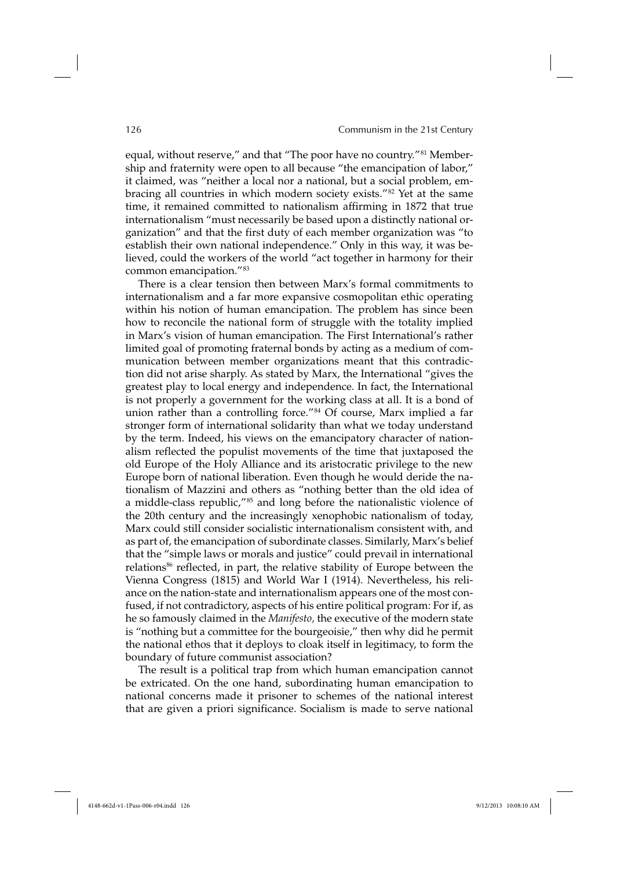equal, without reserve," and that "The poor have no country."<sup>81</sup> Membership and fraternity were open to all because "the emancipation of labor," it claimed, was "neither a local nor a national, but a social problem, embracing all countries in which modern society exists."<sup>82</sup> Yet at the same time, it remained committed to nationalism affirming in 1872 that true internationalism "must necessarily be based upon a distinctly national organization" and that the first duty of each member organization was "to establish their own national independence." Only in this way, it was believed, could the workers of the world "act together in harmony for their common emancipation." 83

 There is a clear tension then between Marx's formal commitments to internationalism and a far more expansive cosmopolitan ethic operating within his notion of human emancipation. The problem has since been how to reconcile the national form of struggle with the totality implied in Marx's vision of human emancipation. The First International's rather limited goal of promoting fraternal bonds by acting as a medium of communication between member organizations meant that this contradiction did not arise sharply. As stated by Marx, the International "gives the greatest play to local energy and independence. In fact, the International is not properly a government for the working class at all. It is a bond of union rather than a controlling force."<sup>84</sup> Of course, Marx implied a far stronger form of international solidarity than what we today understand by the term. Indeed, his views on the emancipatory character of nationalism reflected the populist movements of the time that juxtaposed the old Europe of the Holy Alliance and its aristocratic privilege to the new Europe born of national liberation. Even though he would deride the nationalism of Mazzini and others as "nothing better than the old idea of a middle-class republic,"<sup>85</sup> and long before the nationalistic violence of the 20th century and the increasingly xenophobic nationalism of today, Marx could still consider socialistic internationalism consistent with, and as part of, the emancipation of subordinate classes. Similarly, Marx's belief that the "simple laws or morals and justice" could prevail in international relations<sup>86</sup> reflected, in part, the relative stability of Europe between the Vienna Congress (1815) and World War I (1914). Nevertheless, his reliance on the nation-state and internationalism appears one of the most confused, if not contradictory, aspects of his entire political program: For if, as he so famously claimed in the *Manifesto,* the executive of the modern state is "nothing but a committee for the bourgeoisie," then why did he permit the national ethos that it deploys to cloak itself in legitimacy, to form the boundary of future communist association?

 The result is a political trap from which human emancipation cannot be extricated. On the one hand, subordinating human emancipation to national concerns made it prisoner to schemes of the national interest that are given a priori significance. Socialism is made to serve national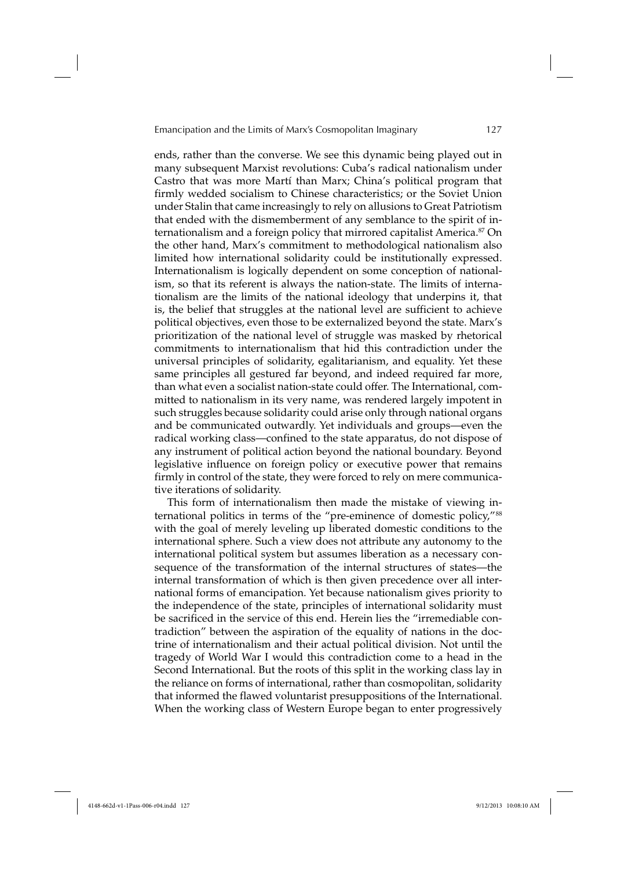ends, rather than the converse. We see this dynamic being played out in many subsequent Marxist revolutions: Cuba's radical nationalism under Castro that was more Martí than Marx; China's political program that firmly wedded socialism to Chinese characteristics; or the Soviet Union under Stalin that came increasingly to rely on allusions to Great Patriotism that ended with the dismemberment of any semblance to the spirit of internationalism and a foreign policy that mirrored capitalist America.<sup>87</sup> On the other hand, Marx's commitment to methodological nationalism also limited how international solidarity could be institutionally expressed. Internationalism is logically dependent on some conception of nationalism, so that its referent is always the nation-state. The limits of internationalism are the limits of the national ideology that underpins it, that is, the belief that struggles at the national level are sufficient to achieve political objectives, even those to be externalized beyond the state. Marx's prioritization of the national level of struggle was masked by rhetorical commitments to internationalism that hid this contradiction under the universal principles of solidarity, egalitarianism, and equality. Yet these same principles all gestured far beyond, and indeed required far more, than what even a socialist nation-state could offer. The International, committed to nationalism in its very name, was rendered largely impotent in such struggles because solidarity could arise only through national organs and be communicated outwardly. Yet individuals and groups—even the radical working class—confined to the state apparatus, do not dispose of any instrument of political action beyond the national boundary. Beyond legislative influence on foreign policy or executive power that remains firmly in control of the state, they were forced to rely on mere communicative iterations of solidarity.

 This form of internationalism then made the mistake of viewing international politics in terms of the "pre-eminence of domestic policy,"<sup>88</sup> with the goal of merely leveling up liberated domestic conditions to the international sphere. Such a view does not attribute any autonomy to the international political system but assumes liberation as a necessary consequence of the transformation of the internal structures of states—the internal transformation of which is then given precedence over all international forms of emancipation. Yet because nationalism gives priority to the independence of the state, principles of international solidarity must be sacrificed in the service of this end. Herein lies the "irremediable contradiction" between the aspiration of the equality of nations in the doctrine of internationalism and their actual political division. Not until the tragedy of World War I would this contradiction come to a head in the Second International. But the roots of this split in the working class lay in the reliance on forms of international, rather than cosmopolitan, solidarity that informed the flawed voluntarist presuppositions of the International. When the working class of Western Europe began to enter progressively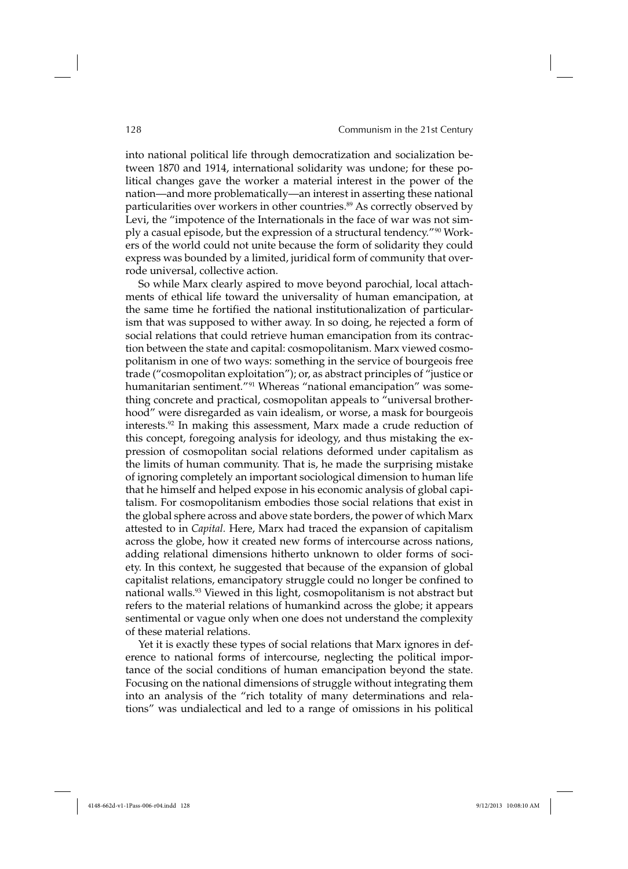into national political life through democratization and socialization between 1870 and 1914, international solidarity was undone; for these political changes gave the worker a material interest in the power of the nation—and more problematically—an interest in asserting these national particularities over workers in other countries.<sup>89</sup> As correctly observed by Levi, the "impotence of the Internationals in the face of war was not simply a casual episode, but the expression of a structural tendency."<sup>90</sup> Workers of the world could not unite because the form of solidarity they could express was bounded by a limited, juridical form of community that overrode universal, collective action.

 So while Marx clearly aspired to move beyond parochial, local attachments of ethical life toward the universality of human emancipation, at the same time he fortified the national institutionalization of particularism that was supposed to wither away. In so doing, he rejected a form of social relations that could retrieve human emancipation from its contraction between the state and capital: cosmopolitanism. Marx viewed cosmopolitanism in one of two ways: something in the service of bourgeois free trade ("cosmopolitan exploitation"); or, as abstract principles of "justice or humanitarian sentiment.<sup>"91</sup> Whereas "national emancipation" was something concrete and practical, cosmopolitan appeals to "universal brotherhood" were disregarded as vain idealism, or worse, a mask for bourgeois interests.<sup>92</sup> In making this assessment, Marx made a crude reduction of this concept, foregoing analysis for ideology, and thus mistaking the expression of cosmopolitan social relations deformed under capitalism as the limits of human community. That is, he made the surprising mistake of ignoring completely an important sociological dimension to human life that he himself and helped expose in his economic analysis of global capitalism. For cosmopolitanism embodies those social relations that exist in the global sphere across and above state borders, the power of which Marx attested to in *Capital.* Here, Marx had traced the expansion of capitalism across the globe, how it created new forms of intercourse across nations, adding relational dimensions hitherto unknown to older forms of society. In this context, he suggested that because of the expansion of global capitalist relations, emancipatory struggle could no longer be confined to national walls.<sup>93</sup> Viewed in this light, cosmopolitanism is not abstract but refers to the material relations of humankind across the globe; it appears sentimental or vague only when one does not understand the complexity of these material relations.

 Yet it is exactly these types of social relations that Marx ignores in deference to national forms of intercourse, neglecting the political importance of the social conditions of human emancipation beyond the state. Focusing on the national dimensions of struggle without integrating them into an analysis of the "rich totality of many determinations and relations" was undialectical and led to a range of omissions in his political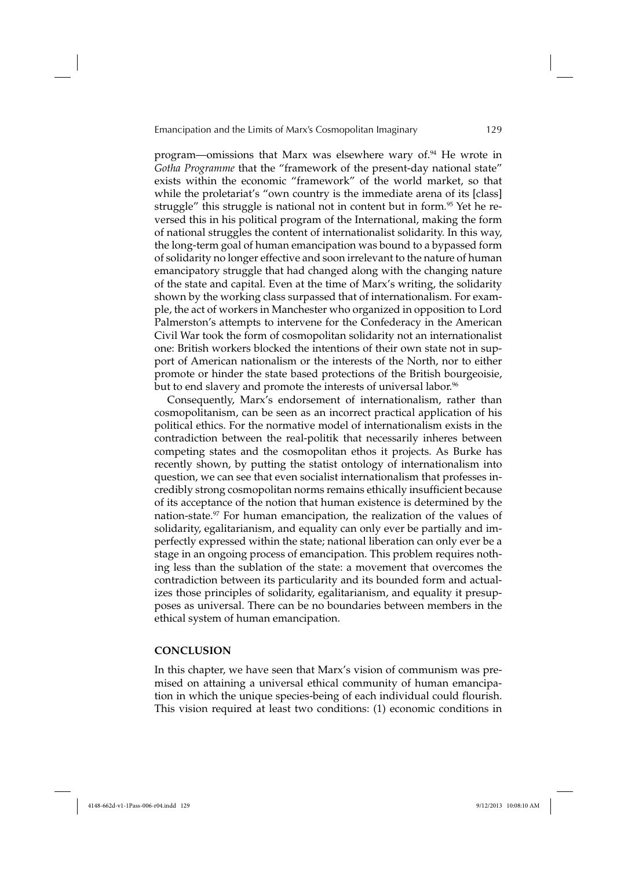program—omissions that Marx was elsewhere wary of.<sup>94</sup> He wrote in *Gotha Programme* that the "framework of the present-day national state" exists within the economic "framework" of the world market, so that while the proletariat's "own country is the immediate arena of its [class] struggle" this struggle is national not in content but in form.<sup>95</sup> Yet he reversed this in his political program of the International, making the form of national struggles the content of internationalist solidarity. In this way, the long-term goal of human emancipation was bound to a bypassed form of solidarity no longer effective and soon irrelevant to the nature of human emancipatory struggle that had changed along with the changing nature of the state and capital. Even at the time of Marx's writing, the solidarity shown by the working class surpassed that of internationalism. For example, the act of workers in Manchester who organized in opposition to Lord Palmerston's attempts to intervene for the Confederacy in the American Civil War took the form of cosmopolitan solidarity not an internationalist one: British workers blocked the intentions of their own state not in support of American nationalism or the interests of the North, nor to either promote or hinder the state based protections of the British bourgeoisie, but to end slavery and promote the interests of universal labor.<sup>96</sup>

 Consequently, Marx's endorsement of internationalism, rather than cosmopolitanism, can be seen as an incorrect practical application of his political ethics. For the normative model of internationalism exists in the contradiction between the real-politik that necessarily inheres between competing states and the cosmopolitan ethos it projects. As Burke has recently shown, by putting the statist ontology of internationalism into question, we can see that even socialist internationalism that professes incredibly strong cosmopolitan norms remains ethically insufficient because of its acceptance of the notion that human existence is determined by the nation-state.<sup>97</sup> For human emancipation, the realization of the values of solidarity, egalitarianism, and equality can only ever be partially and imperfectly expressed within the state; national liberation can only ever be a stage in an ongoing process of emancipation. This problem requires nothing less than the sublation of the state: a movement that overcomes the contradiction between its particularity and its bounded form and actualizes those principles of solidarity, egalitarianism, and equality it presupposes as universal. There can be no boundaries between members in the ethical system of human emancipation.

#### **CONCLUSION**

 In this chapter, we have seen that Marx's vision of communism was premised on attaining a universal ethical community of human emancipation in which the unique species-being of each individual could flourish. This vision required at least two conditions: (1) economic conditions in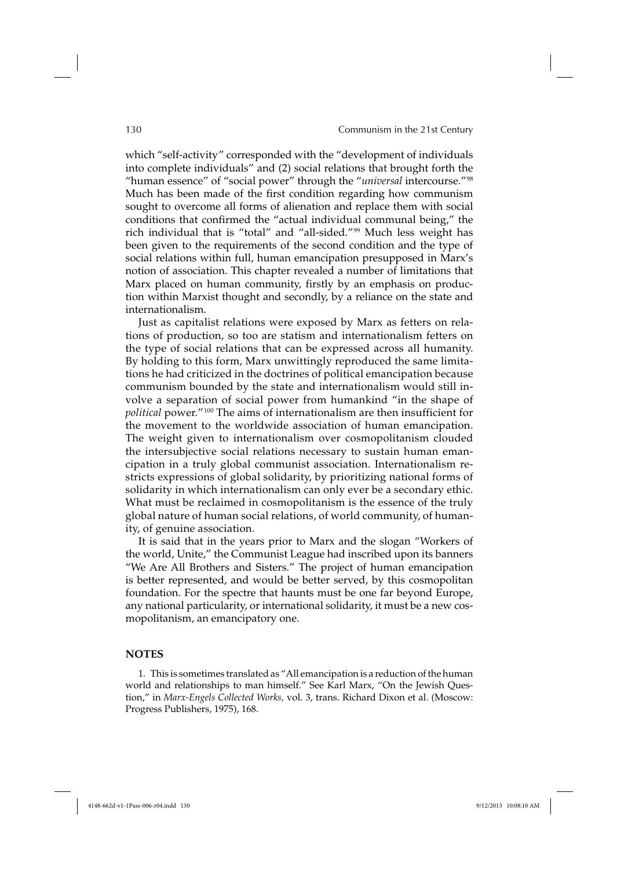which "self-activity" corresponded with the "development of individuals into complete individuals" and (2) social relations that brought forth the "human essence" of "social power" through the " *universal* intercourse." 98 Much has been made of the first condition regarding how communism sought to overcome all forms of alienation and replace them with social conditions that confirmed the "actual individual communal being," the rich individual that is "total" and "all-sided."<sup>99</sup> Much less weight has been given to the requirements of the second condition and the type of social relations within full, human emancipation presupposed in Marx's notion of association. This chapter revealed a number of limitations that Marx placed on human community, firstly by an emphasis on production within Marxist thought and secondly, by a reliance on the state and internationalism.

 Just as capitalist relations were exposed by Marx as fetters on relations of production, so too are statism and internationalism fetters on the type of social relations that can be expressed across all humanity. By holding to this form, Marx unwittingly reproduced the same limitations he had criticized in the doctrines of political emancipation because communism bounded by the state and internationalism would still involve a separation of social power from humankind "in the shape of *political* power." 100 The aims of internationalism are then insufficient for the movement to the worldwide association of human emancipation. The weight given to internationalism over cosmopolitanism clouded the intersubjective social relations necessary to sustain human emancipation in a truly global communist association. Internationalism restricts expressions of global solidarity, by prioritizing national forms of solidarity in which internationalism can only ever be a secondary ethic. What must be reclaimed in cosmopolitanism is the essence of the truly global nature of human social relations, of world community, of humanity, of genuine association.

 It is said that in the years prior to Marx and the slogan "Workers of the world, Unite," the Communist League had inscribed upon its banners "We Are All Brothers and Sisters." The project of human emancipation is better represented, and would be better served, by this cosmopolitan foundation. For the spectre that haunts must be one far beyond Europe, any national particularity, or international solidarity, it must be a new cosmopolitanism, an emancipatory one.

#### **NOTES**

1. This is sometimes translated as "All emancipation is a reduction of the human world and relationships to man himself." See Karl Marx, "On the Jewish Question," in *Marx-Engels Collected Works,* vol. 3, trans. Richard Dixon et al. (Moscow: Progress Publishers, 1975), 168.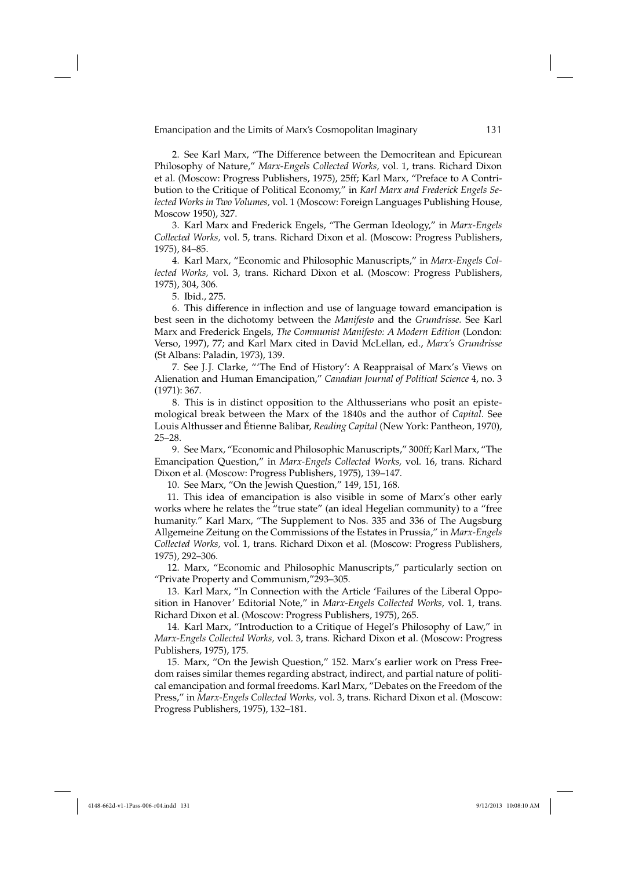2 . See Karl Marx, "The Difference between the Democritean and Epicurean Philosophy of Nature," *Marx-Engels Collected Works,* vol. 1, trans. Richard Dixon et al. (Moscow: Progress Publishers, 1975), 25ff; Karl Marx, "Preface to A Contribution to the Critique of Political Economy," in *Karl Marx and Frederick Engels Selected Works in Two Volumes,* vol. 1 (Moscow: Foreign Languages Publishing House, Moscow 1950), 327.

 3 . Karl Marx and Frederick Engels, "The German Ideology," in *Marx-Engels Collected Works,* vol. 5, trans. Richard Dixon et al. (Moscow: Progress Publishers, 1975), 84–85.

 4 . Karl Marx, "Economic and Philosophic Manuscripts," in *Marx-Engels Collected Works,* vol. 3, trans. Richard Dixon et al. (Moscow: Progress Publishers, 1975), 304, 306.

5 . Ibid., 275.

 6 . This difference in inflection and use of language toward emancipation is best seen in the dichotomy between the *Manifesto* and the *Grundrisse.* See Karl Marx and Frederick Engels, *The Communist Manifesto: A Modern Edition* (London: Verso, 1997), 77; and Karl Marx cited in David McLellan, ed., *Marx's Grundrisse* (St Albans: Paladin, 1973), 139.

7. See J.J. Clarke, "'The End of History': A Reappraisal of Marx's Views on Alienation and Human Emancipation," *Canadian Journal of Political Science* 4, no. 3 (1971): 367.

 8 . This is in distinct opposition to the Althusserians who posit an epistemological break between the Marx of the 1840s and the author of *Capital.* See Louis Althusser and Étienne Balibar, *Reading Capital* (New York: Pantheon, 1970), 25–28.

 9 . See Marx, "Economic and Philosophic Manuscripts," 300ff; Karl Marx, "The Emancipation Question," in *Marx-Engels Collected Works,* vol. 16, trans. Richard Dixon et al. (Moscow: Progress Publishers, 1975), 139–147.

10 . See Marx, "On the Jewish Question," 149, 151, 168.

11. This idea of emancipation is also visible in some of Marx's other early works where he relates the "true state" (an ideal Hegelian community) to a "free humanity." Karl Marx, "The Supplement to Nos. 335 and 336 of The Augsburg Allgemeine Zeitung on the Commissions of the Estates in Prussia," in *Marx-Engels Collected Works,* vol. 1, trans. Richard Dixon et al. (Moscow: Progress Publishers, 1975), 292–306.

 12 . Marx, "Economic and Philosophic Manuscripts," particularly section on "Private Property and Communism,"293–305.

 13 . Karl Marx, "In Connection with the Article 'Failures of the Liberal Opposition in Hanover' Editorial Note," in *Marx-Engels Collected Works* , vol. 1, trans. Richard Dixon et al. (Moscow: Progress Publishers, 1975), 265.

 14 . Karl Marx, "Introduction to a Critique of Hegel's Philosophy of Law," in *Marx-Engels Collected Works,* vol. 3, trans. Richard Dixon et al. (Moscow: Progress Publishers, 1975), 175.

 15 . Marx, "On the Jewish Question," 152. Marx's earlier work on Press Freedom raises similar themes regarding abstract, indirect, and partial nature of political emancipation and formal freedoms. Karl Marx, "Debates on the Freedom of the Press," in *Marx-Engels Collected Works,* vol. 3, trans. Richard Dixon et al. (Moscow: Progress Publishers, 1975), 132–181.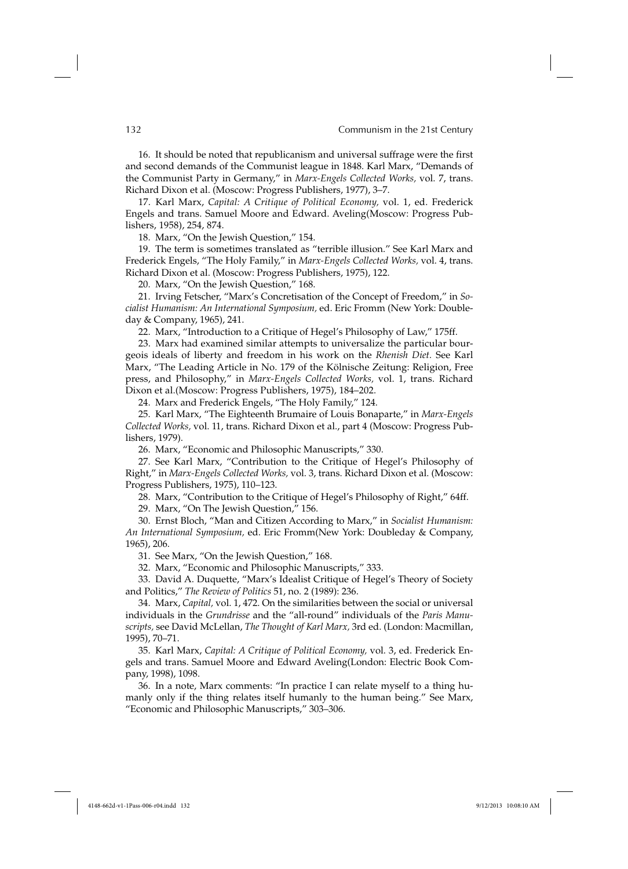16 . It should be noted that republicanism and universal suffrage were the first and second demands of the Communist league in 1848. Karl Marx, "Demands of the Communist Party in Germany," in *Marx-Engels Collected Works,* vol. 7, trans. Richard Dixon et al. (Moscow: Progress Publishers, 1977), 3–7.

 17 . Karl Marx, *Capital: A Critique of Political Economy,* vol. 1, ed. Frederick Engels and trans. Samuel Moore and Edward. Aveling(Moscow: Progress Publishers, 1958), 254, 874.

18 . Marx, "On the Jewish Question," 154.

 19 . The term is sometimes translated as "terrible illusion." See Karl Marx and Frederick Engels, "The Holy Family," in *Marx-Engels Collected Works,* vol. 4, trans. Richard Dixon et al. (Moscow: Progress Publishers, 1975), 122.

20 . Marx, "On the Jewish Question," 168.

 21 . Irving Fetscher, "Marx's Concretisation of the Concept of Freedom," in *Socialist Humanism: An International Symposium,* ed. Eric Fromm (New York: Doubleday & Company, 1965), 241.

22. Marx, "Introduction to a Critique of Hegel's Philosophy of Law," 175ff.

 23 . Marx had examined similar attempts to universalize the particular bourgeois ideals of liberty and freedom in his work on the *Rhenish Diet.* See Karl Marx, "The Leading Article in No. 179 of the Kölnische Zeitung: Religion, Free press, and Philosophy," in *Marx-Engels Collected Works,* vol. 1, trans. Richard Dixon et al.(Moscow: Progress Publishers, 1975), 184–202.

24. Marx and Frederick Engels, "The Holy Family," 124.

 25 . Karl Marx, "The Eighteenth Brumaire of Louis Bonaparte," in *Marx-Engels Collected Works,* vol. 11, trans. Richard Dixon et al., part 4 (Moscow: Progress Publishers, 1979).

26 . Marx, "Economic and Philosophic Manuscripts," 330.

 27 . See Karl Marx, "Contribution to the Critique of Hegel's Philosophy of Right," in *Marx-Engels Collected Works,* vol. 3, trans. Richard Dixon et al. (Moscow: Progress Publishers, 1975), 110–123.

28. Marx, "Contribution to the Critique of Hegel's Philosophy of Right," 64ff.

29. Marx, "On The Jewish Question," 156.

 30 . Ernst Bloch, "Man and Citizen According to Marx," in *Socialist Humanism: An International Symposium,* ed. Eric Fromm(New York: Doubleday & Company, 1965), 206.

31 . See Marx, "On the Jewish Question," 168.

32 . Marx, "Economic and Philosophic Manuscripts," 333.

 33 . David A. Duquette, "Marx's Idealist Critique of Hegel's Theory of Society and Politics," *The Review of Politics* 51, no. 2 (1989): 236.

 34 . Marx, *Capital,* vol. 1, 472. On the similarities between the social or universal individuals in the *Grundrisse* and the "all-round" individuals of the *Paris Manuscripts,* see David McLellan, *The Thought of Karl Marx,* 3rd ed. (London: Macmillan, 1995), 70–71.

 35 . Karl Marx, *Capital: A Critique of Political Economy,* vol. 3, ed. Frederick Engels and trans. Samuel Moore and Edward Aveling(London: Electric Book Company, 1998), 1098.

 36 . In a note, Marx comments: "In practice I can relate myself to a thing humanly only if the thing relates itself humanly to the human being." See Marx, "Economic and Philosophic Manuscripts," 303–306.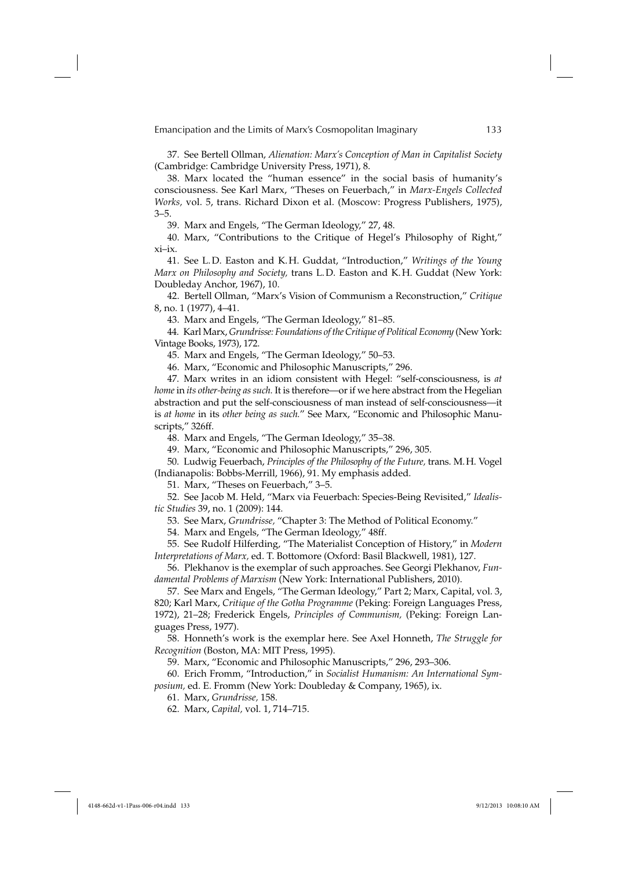37 . See Bertell Ollman, *Alienation: Marx's Conception of Man in Capitalist Society* (Cambridge: Cambridge University Press, 1971), 8.

 38 . Marx located the "human essence" in the social basis of humanity's consciousness. See Karl Marx, "Theses on Feuerbach," in *Marx-Engels Collected Works,* vol. 5, trans. Richard Dixon et al. (Moscow: Progress Publishers, 1975), 3–5.

39. Marx and Engels, "The German Ideology," 27, 48.

 40 . Marx, "Contributions to the Critique of Hegel's Philosophy of Right," xi–ix.

 41 . See L. D. Easton and K. H. Guddat, "Introduction," *Writings of the Young Marx on Philosophy and Society,* trans L. D. Easton and K. H. Guddat (New York: Doubleday Anchor, 1967), 10.

 42 . Bertell Ollman, "Marx's Vision of Communism a Reconstruction," *Critique* 8, no. 1 (1977), 4–41.

43 . Marx and Engels, "The German Ideology," 81–85.

 44 . Karl Marx, *Grundrisse: Foundations of the Critique of Political Economy* (New York: Vintage Books, 1973), 172.

45 . Marx and Engels, "The German Ideology," 50–53.

46 . Marx, "Economic and Philosophic Manuscripts," 296.

 47 . Marx writes in an idiom consistent with Hegel: "self-consciousness, is *at home* in *its other-being as such.* It is therefore—or if we here abstract from the Hegelian abstraction and put the self-consciousness of man instead of self-consciousness—it is *at home* in its *other being as such.* " See Marx, "Economic and Philosophic Manuscripts," 326ff.

48 . Marx and Engels, "The German Ideology," 35–38.

49 . Marx, "Economic and Philosophic Manuscripts," 296, 305.

 50 . Ludwig Feuerbach, *Principles of the Philosophy of the Future,* trans. M. H. Vogel (Indianapolis: Bobbs-Merrill, 1966), 91. My emphasis added.

51. Marx, "Theses on Feuerbach," 3-5.

 52 . See Jacob M. Held, "Marx via Feuerbach: Species-Being Revisited," *Idealistic Studies* 39, no. 1 (2009): 144.

53 . See Marx, *Grundrisse,* "Chapter 3: The Method of Political Economy."

54 . Marx and Engels, "The German Ideology," 48ff.

 55 . See Rudolf Hilferding, "The Materialist Conception of History," in *Modern Interpretations of Marx,* ed. T. Bottomore (Oxford: Basil Blackwell, 1981), 127.

 56 . Plekhanov is the exemplar of such approaches. See Georgi Plekhanov, *Fundamental Problems of Marxism* (New York: International Publishers, 2010).

57. See Marx and Engels, "The German Ideology," Part 2; Marx, Capital, vol. 3, 820; Karl Marx, *Critique of the Gotha Programme* (Peking: Foreign Languages Press, 1972), 21–28; Frederick Engels, *Principles of Communism,* (Peking: Foreign Languages Press, 1977).

 58 . Honneth's work is the exemplar here. See Axel Honneth, *The Struggle for Recognition* (Boston, MA: MIT Press, 1995).

59 . Marx, "Economic and Philosophic Manuscripts," 296, 293–306.

 60 . Erich Fromm, "Introduction," in *Socialist Humanism: An International Symposium,* ed. E. Fromm (New York: Doubleday & Company, 1965), ix.

61 . Marx, *Grundrisse,* 158.

62 . Marx, *Capital,* vol. 1, 714–715.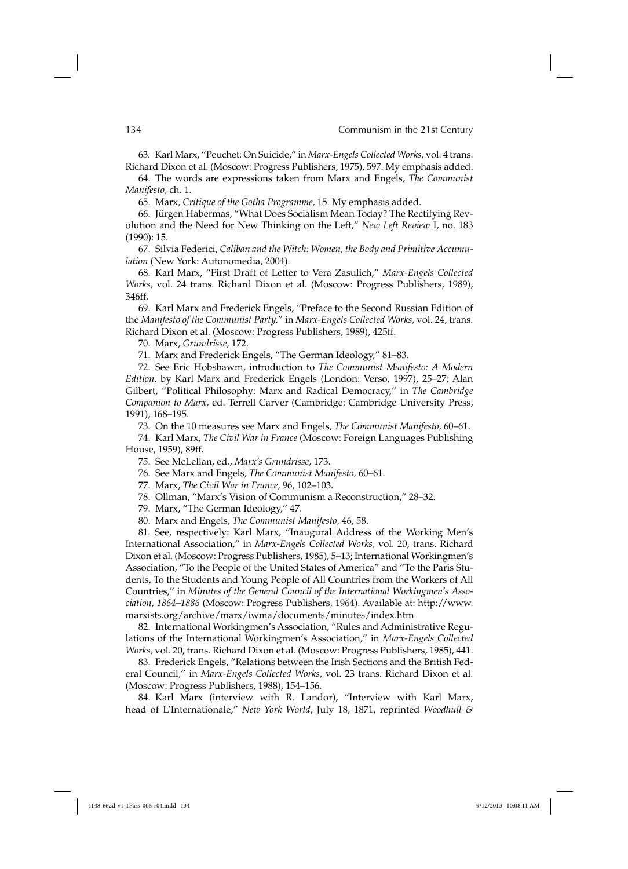63 . Karl Marx, "Peuchet: On Suicide," in *Marx-Engels Collected Works,* vol. 4 trans. Richard Dixon et al. (Moscow: Progress Publishers, 1975), 597. My emphasis added.

 64 . The words are expressions taken from Marx and Engels, *The Communist Manifesto,* ch. 1.

65 . Marx, *Critique of the Gotha Programme,* 15. My emphasis added.

 66 . Jürgen Habermas, "What Does Socialism Mean Today? The Rectifying Revolution and the Need for New Thinking on the Left," *New Left Review* I, no. 183 (1990): 15.

 67 . Silvia Federici, *Caliban and the Witch: Women, the Body and Primitive Accumulation* (New York: Autonomedia, 2004).

 68 . Karl Marx, "First Draft of Letter to Vera Zasulich," *Marx-Engels Collected Works,* vol. 24 trans. Richard Dixon et al. (Moscow: Progress Publishers, 1989), 346ff.

 69 . Karl Marx and Frederick Engels, "Preface to the Second Russian Edition of the *Manifesto of the Communist Party,* " in *Marx-Engels Collected Works,* vol. 24, trans. Richard Dixon et al. (Moscow: Progress Publishers, 1989), 425ff.

70 . Marx, *Grundrisse,* 172.

71. Marx and Frederick Engels, "The German Ideology," 81-83.

 72 . See Eric Hobsbawm, introduction to *The Communist Manifesto: A Modern Edition,* by Karl Marx and Frederick Engels (London: Verso, 1997), 25–27; Alan Gilbert, "Political Philosophy: Marx and Radical Democracy," in *The Cambridge Companion to Marx,* ed. Terrell Carver (Cambridge: Cambridge University Press, 1991), 168–195.

73 . On the 10 measures see Marx and Engels, *The Communist Manifesto,* 60–61.

 74 . Karl Marx, *The Civil War in France* (Moscow: Foreign Languages Publishing House, 1959), 89ff.

75 . See McLellan, ed., *Marx's Grundrisse,* 173.

- 76 . See Marx and Engels, *The Communist Manifesto,* 60–61.
- 77 . Marx, *The Civil War in France,* 96, 102–103.

78 . Ollman, "Marx's Vision of Communism a Reconstruction," 28–32.

79 . Marx, "The German Ideology," 47.

80 . Marx and Engels, *The Communist Manifesto,* 46, 58.

 81 . See, respectively: Karl Marx, "Inaugural Address of the Working Men's International Association," in *Marx-Engels Collected Works,* vol. 20, trans. Richard Dixon et al. (Moscow: Progress Publishers, 1985), 5–13; International Workingmen's Association, "To the People of the United States of America" and "To the Paris Students, To the Students and Young People of All Countries from the Workers of All Countries," in *Minutes of the General Council of the International Workingmen's Association, 1864–1886* (Moscow: Progress Publishers, 1964). Available at: http://www. marxists.org/archive/marx/iwma/documents/minutes/index.htm

82. International Workingmen's Association, "Rules and Administrative Regulations of the International Workingmen's Association," in *Marx-Engels Collected Works,* vol. 20, trans. Richard Dixon et al. (Moscow: Progress Publishers, 1985), 441.

 83 . Frederick Engels, "Relations between the Irish Sections and the British Federal Council," in *Marx-Engels Collected Works,* vol. 23 trans. Richard Dixon et al. (Moscow: Progress Publishers, 1988), 154–156.

84. Karl Marx (interview with R. Landor), "Interview with Karl Marx, head of L'Internationale," *New York World* , July 18, 1871, reprinted *Woodhull &*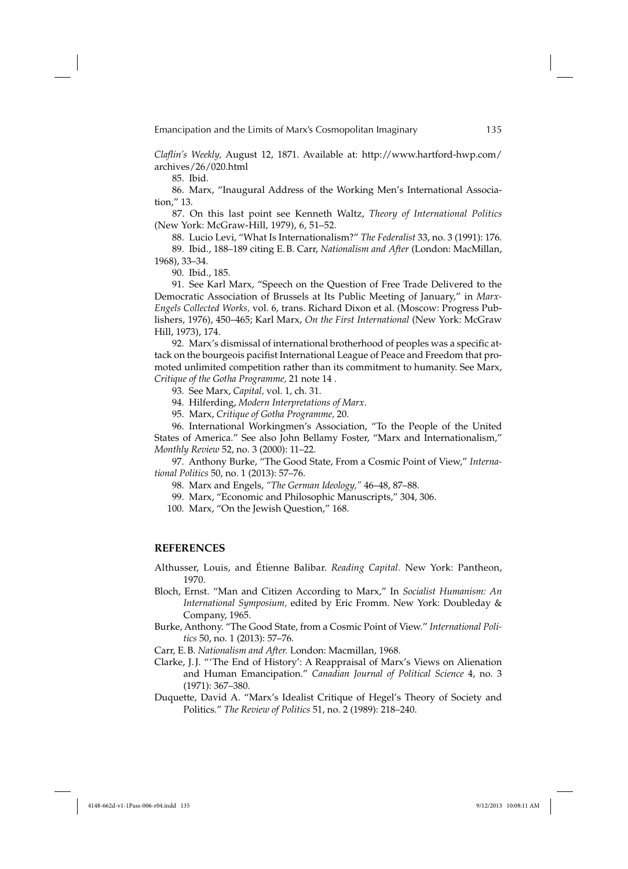*Claflin's Weekly,* August 12, 1871. Available at: http://www.hartford-hwp.com/ archives/26/020.html

85 . Ibid.

 86 . Marx, "Inaugural Address of the Working Men's International Association," 13.

 87 . On this last point see Kenneth Waltz, *Theory of International Politics* (New York: McGraw-Hill, 1979), 6, 51–52.

88 . Lucio Levi, "What Is Internationalism?" *The Federalist* 33, no. 3 (1991): 176.

 89 . Ibid., 188–189 citing E. B. Carr, *Nationalism and After* (London: MacMillan, 1968), 33–34.

90. Ibid., 185.

91. See Karl Marx, "Speech on the Question of Free Trade Delivered to the Democratic Association of Brussels at Its Public Meeting of January," in *Marx-Engels Collected Works,* vol. 6, trans. Richard Dixon et al. (Moscow: Progress Publishers, 1976), 450–465; Karl Marx, *On the First International* (New York: McGraw Hill, 1973), 174.

 92 . Marx's dismissal of international brotherhood of peoples was a specific attack on the bourgeois pacifist International League of Peace and Freedom that promoted unlimited competition rather than its commitment to humanity. See Marx, *Critique of the Gotha Programme,* 21 note 14 .

93 . See Marx, *Capital,* vol. 1, ch. 31.

94. Hilferding, *Modern Interpretations of Marx*.

95 . Marx, *Critique of Gotha Programme,* 20.

96. International Workingmen's Association, "To the People of the United States of America." See also John Bellamy Foster, "Marx and Internationalism," *Monthly Review* 52, no. 3 (2000): 11–22.

 97 . Anthony Burke, "The Good State, From a Cosmic Point of View," *International Politics* 50, no. 1 (2013): 57–76.

98 . Marx and Engels, *"The German Ideology,"* 46–48, 87–88.

99 . Marx, "Economic and Philosophic Manuscripts," 304, 306.

100. Marx, "On the Jewish Question," 168.

#### **REFERENCES**

 Althusser, Louis, and Étienne Balibar. *Reading Capital.* New York: Pantheon, 1970.

- Bloch, Ernst. "Man and Citizen According to Marx," In *Socialist Humanism: An International Symposium,* edited by Eric Fromm. New York: Doubleday & Company, 1965.
- Burke, Anthony. "The Good State, from a Cosmic Point of View." *International Politics* 50, no. 1 (2013): 57–76.

Carr, E. B. *Nationalism and After.* London: Macmillan, 1968.

- Clarke, J.J. "The End of History': A Reappraisal of Marx's Views on Alienation and Human Emancipation." *Canadian Journal of Political Science* 4, no. 3 (1971): 367–380.
- Duquette, David A. "Marx's Idealist Critique of Hegel's Theory of Society and Politics." *The Review of Politics* 51, no. 2 (1989): 218–240.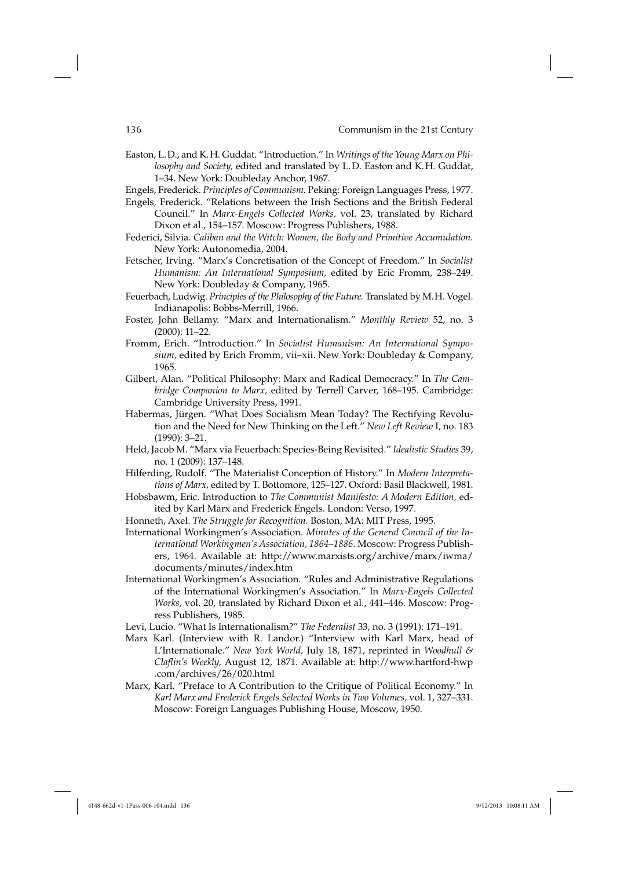Easton, L. D., and K. H. Guddat. "Introduction." In *Writings of the Young Marx on Philosophy and Society,* edited and translated by L. D. Easton and K. H. Guddat, 1–34. New York: Doubleday Anchor, 1967.

Engels, Frederick. *Principles of Communism.* Peking: Foreign Languages Press, 1977.

- Engels, Frederick. "Relations between the Irish Sections and the British Federal Council." In *Marx-Engels Collected Works,* vol. 23, translated by Richard Dixon et al., 154–157. Moscow: Progress Publishers, 1988.
- Federici, Silvia. *Caliban and the Witch: Women, the Body and Primitive Accumulation.* New York: Autonomedia, 2004.
- Fetscher, Irving. "Marx's Concretisation of the Concept of Freedom." In *Socialist Humanism: An International Symposium,* edited by Eric Fromm, 238–249. New York: Doubleday & Company, 1965.
- Feuerbach, Ludwig. *Principles of the Philosophy of the Future.* Translated by M. H. Vogel. Indianapolis: Bobbs-Merrill, 1966.
- Foster, John Bellamy. "Marx and Internationalism." *Monthly Review* 52, no. 3 (2000): 11–22.
- Fromm, Erich. "Introduction." In *Socialist Humanism: An International Symposium,* edited by Erich Fromm, vii–xii. New York: Doubleday & Company, 1965.
- Gilbert, Alan. "Political Philosophy: Marx and Radical Democracy." In *The Cambridge Companion to Marx,* edited by Terrell Carver, 168–195. Cambridge: Cambridge University Press, 1991.
- Habermas, Jürgen. "What Does Socialism Mean Today? The Rectifying Revolution and the Need for New Thinking on the Left." *New Left Review* I, no. 183 (1990): 3–21.
- Held, Jacob M. "Marx via Feuerbach: Species-Being Revisited." *Idealistic Studies* 39, no. 1 (2009): 137–148.
- Hilferding, Rudolf. "The Materialist Conception of History." In *Modern Interpretations of Marx,* edited by T. Bottomore, 125–127. Oxford: Basil Blackwell, 1981.
- Hobsbawm, Eric. Introduction to *The Communist Manifesto: A Modern Edition,* edited by Karl Marx and Frederick Engels. London: Verso, 1997.
- Honneth, Axel. *The Struggle for Recognition.* Boston, MA: MIT Press, 1995.
- International Workingmen's Association. *Minutes of the General Council of the International Workingmen's Association, 1864–1886.* Moscow: Progress Publishers, 1964. Available at: http://www.marxists.org/archive/marx/iwma/ documents/minutes/index.htm
- International Workingmen's Association. "Rules and Administrative Regulations of the International Workingmen's Association." In *Marx-Engels Collected Works,* vol. 20, translated by Richard Dixon et al., 441–446. Moscow: Progress Publishers, 1985.
- Levi, Lucio. "What Is Internationalism?" *The Federalist* 33, no. 3 (1991): 171–191.
- Marx Karl. (Interview with R. Landor.) "Interview with Karl Marx, head of L'Internationale." *New York World,* July 18, 1871, reprinted in *Woodhull & Claflin's Weekly,* August 12, 1871. Available at: http://www.hartford-hwp .com/archives/26/020.html
- Marx, Karl. "Preface to A Contribution to the Critique of Political Economy." In *Karl Marx and Frederick Engels Selected Works in Two Volumes,* vol. 1, 327–331. Moscow: Foreign Languages Publishing House, Moscow, 1950.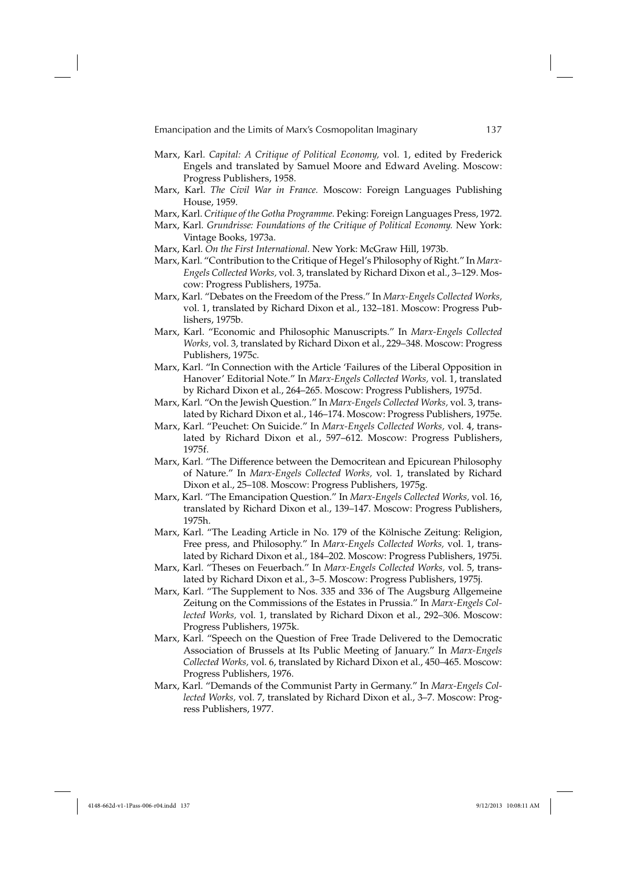- Marx, Karl. *Capital: A Critique of Political Economy,* vol. 1, edited by Frederick Engels and translated by Samuel Moore and Edward Aveling. Moscow: Progress Publishers, 1958.
- Marx, Karl. *The Civil War in France.* Moscow: Foreign Languages Publishing House, 1959.
- Marx, Karl. *Critique of the Gotha Programme.* Peking: Foreign Languages Press, 1972.
- Marx, Karl. *Grundrisse: Foundations of the Critique of Political Economy.* New York: Vintage Books, 1973a.
- Marx, Karl. *On the First International.* New York: McGraw Hill, 1973b.
- Marx, Karl. "Contribution to the Critique of Hegel's Philosophy of Right." In *Marx-Engels Collected Works,* vol. 3, translated by Richard Dixon et al., 3–129. Moscow: Progress Publishers, 1975a.
- Marx, Karl. "Debates on the Freedom of the Press." In *Marx-Engels Collected Works,* vol. 1, translated by Richard Dixon et al., 132–181. Moscow: Progress Publishers, 1975b.
- Marx, Karl. "Economic and Philosophic Manuscripts." In *Marx-Engels Collected Works,* vol. 3, translated by Richard Dixon et al., 229–348. Moscow: Progress Publishers, 1975c.
- Marx, Karl. "In Connection with the Article 'Failures of the Liberal Opposition in Hanover' Editorial Note." In *Marx-Engels Collected Works,* vol. 1, translated by Richard Dixon et al., 264–265. Moscow: Progress Publishers, 1975d.
- Marx, Karl. "On the Jewish Question." In *Marx-Engels Collected Works,* vol. 3, translated by Richard Dixon et al., 146–174. Moscow: Progress Publishers, 1975e.
- Marx, Karl. "Peuchet: On Suicide." In *Marx-Engels Collected Works,* vol. 4, translated by Richard Dixon et al., 597–612. Moscow: Progress Publishers, 1975f.
- Marx, Karl. "The Difference between the Democritean and Epicurean Philosophy of Nature." In *Marx-Engels Collected Works,* vol. 1, translated by Richard Dixon et al., 25–108. Moscow: Progress Publishers, 1975g.
- Marx, Karl. "The Emancipation Question." In *Marx-Engels Collected Works,* vol. 16, translated by Richard Dixon et al., 139–147. Moscow: Progress Publishers, 1975h.
- Marx, Karl. "The Leading Article in No. 179 of the Kölnische Zeitung: Religion, Free press, and Philosophy." In *Marx-Engels Collected Works,* vol. 1, translated by Richard Dixon et al., 184–202. Moscow: Progress Publishers, 1975i.
- Marx, Karl. "Theses on Feuerbach." In *Marx-Engels Collected Works,* vol. 5, translated by Richard Dixon et al., 3–5. Moscow: Progress Publishers, 1975j.
- Marx, Karl. "The Supplement to Nos. 335 and 336 of The Augsburg Allgemeine Zeitung on the Commissions of the Estates in Prussia." In *Marx-Engels Collected Works,* vol. 1, translated by Richard Dixon et al., 292–306. Moscow: Progress Publishers, 1975k.
- Marx, Karl. "Speech on the Question of Free Trade Delivered to the Democratic Association of Brussels at Its Public Meeting of January." In *Marx-Engels Collected Works,* vol. 6, translated by Richard Dixon et al., 450–465. Moscow: Progress Publishers, 1976.
- Marx, Karl. "Demands of the Communist Party in Germany." In *Marx-Engels Collected Works,* vol. 7, translated by Richard Dixon et al., 3–7. Moscow: Progress Publishers, 1977.